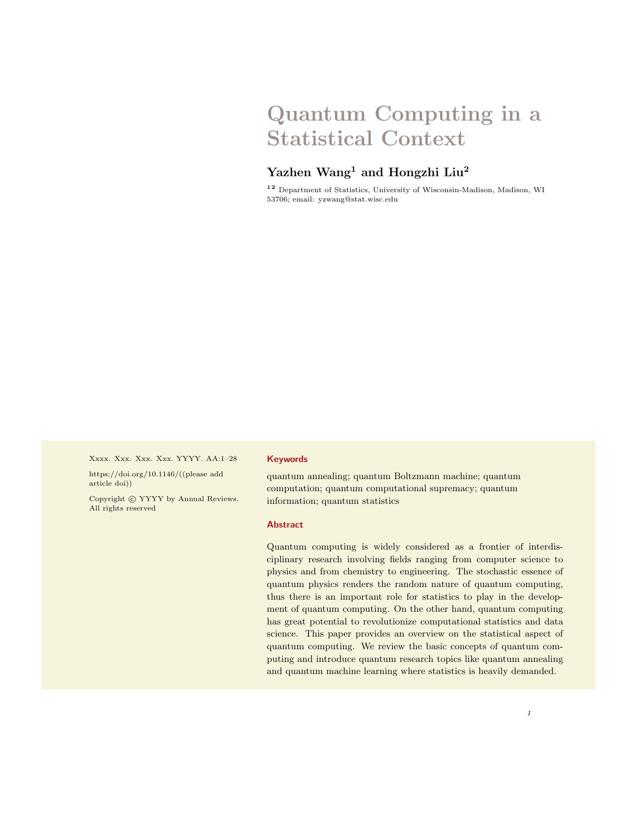# Quantum Computing in a Statistical Context

# Yazhen Wang<sup>1</sup> and Hongzhi Liu<sup>2</sup>

<sup>12</sup> Department of Statistics, University of Wisconsin-Madison, Madison, WI 53706; email: yzwang@stat.wisc.edu

Xxxx. Xxx. Xxx. Xxx. YYYY. AA:1–28

https://doi.org/10.1146/((please add article doi))

Copyright  $\odot$  YYYY by Annual Reviews. All rights reserved

#### Keywords

quantum annealing; quantum Boltzmann machine; quantum computation; quantum computational supremacy; quantum information; quantum statistics

#### Abstract

Quantum computing is widely considered as a frontier of interdisciplinary research involving fields ranging from computer science to physics and from chemistry to engineering. The stochastic essence of quantum physics renders the random nature of quantum computing, thus there is an important role for statistics to play in the development of quantum computing. On the other hand, quantum computing has great potential to revolutionize computational statistics and data science. This paper provides an overview on the statistical aspect of quantum computing. We review the basic concepts of quantum computing and introduce quantum research topics like quantum annealing and quantum machine learning where statistics is heavily demanded.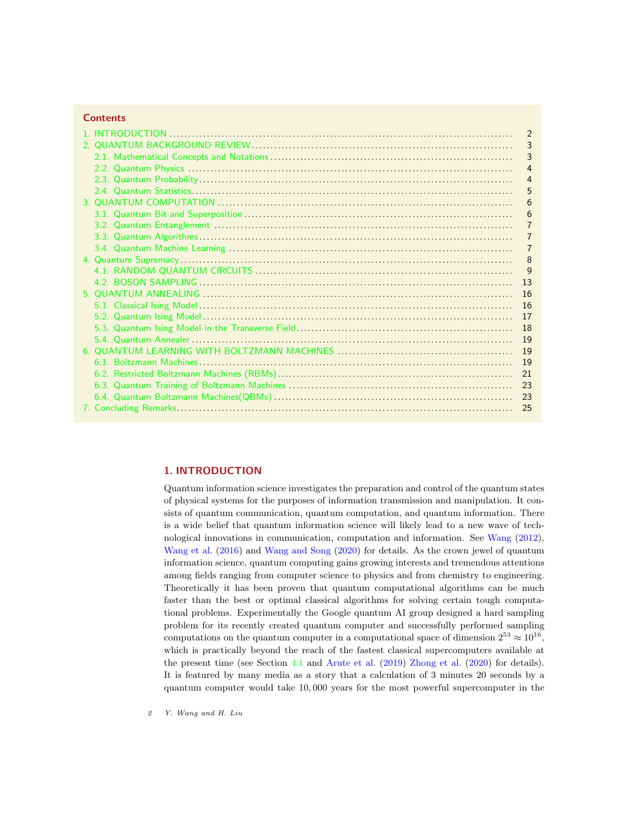# **Contents**

|  | $\overline{2}$ |
|--|----------------|
|  | 3              |
|  | 3              |
|  | $\overline{4}$ |
|  | $\overline{4}$ |
|  |                |
|  | 5              |
|  | 6              |
|  | 6              |
|  | 7              |
|  |                |
|  | 7              |
|  | 8              |
|  | 9              |
|  | 13             |
|  | 16             |
|  | 16             |
|  | 17             |
|  | 18             |
|  | 19             |
|  | 19             |
|  | 19             |
|  | 21             |
|  |                |
|  |                |
|  |                |
|  | 25             |

# <span id="page-1-0"></span>1. INTRODUCTION

Quantum information science investigates the preparation and control of the quantum states of physical systems for the purposes of information transmission and manipulation. It consists of quantum communication, quantum computation, and quantum information. There is a wide belief that quantum information science will likely lead to a new wave of technological innovations in communication, computation and information. See [Wang](#page-27-0) [\(2012\)](#page-27-0), [Wang et al.](#page-27-1) [\(2016\)](#page-27-1) and [Wang and Song](#page-27-2) [\(2020\)](#page-27-2) for details. As the crown jewel of quantum information science, quantum computing gains growing interests and tremendous attentions among fields ranging from computer science to physics and from chemistry to engineering. Theoretically it has been proven that quantum computational algorithms can be much faster than the best or optimal classical algorithms for solving certain tough computational problems. Experimentally the Google quantum AI group designed a hard sampling problem for its recently created quantum computer and successfully performed sampling computations on the quantum computer in a computational space of dimension  $2^{53} \approx 10^{16}$ , which is practically beyond the reach of the fastest classical supercomputers available at the present time (see Section [4.1](#page-8-0) and [Arute et al.](#page-25-0) [\(2019\)](#page-25-0) [Zhong et al.](#page-27-3) [\(2020\)](#page-27-3) for details). It is featured by many media as a story that a calculation of 3 minutes 20 seconds by a quantum computer would take 10, 000 years for the most powerful supercomputer in the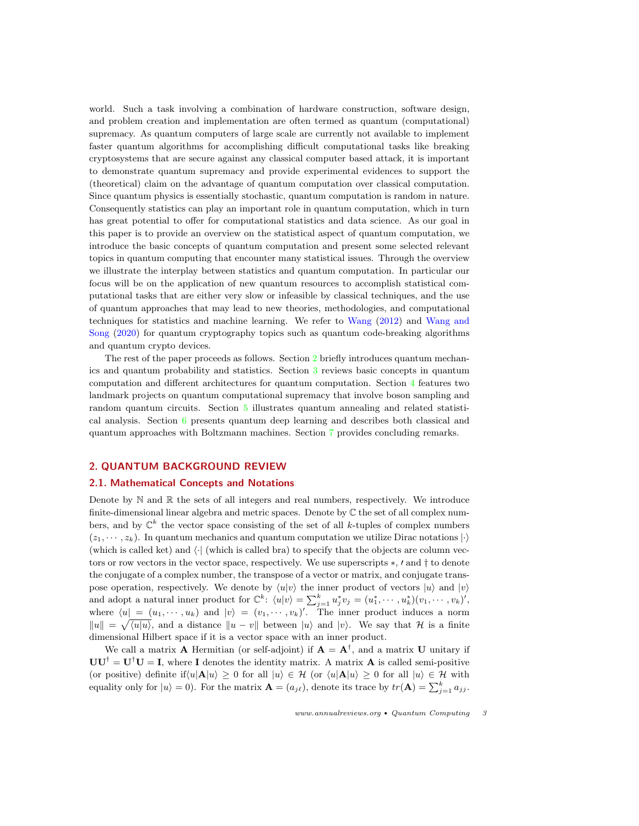world. Such a task involving a combination of hardware construction, software design, and problem creation and implementation are often termed as quantum (computational) supremacy. As quantum computers of large scale are currently not available to implement faster quantum algorithms for accomplishing difficult computational tasks like breaking cryptosystems that are secure against any classical computer based attack, it is important to demonstrate quantum supremacy and provide experimental evidences to support the (theoretical) claim on the advantage of quantum computation over classical computation. Since quantum physics is essentially stochastic, quantum computation is random in nature. Consequently statistics can play an important role in quantum computation, which in turn has great potential to offer for computational statistics and data science. As our goal in this paper is to provide an overview on the statistical aspect of quantum computation, we introduce the basic concepts of quantum computation and present some selected relevant topics in quantum computing that encounter many statistical issues. Through the overview we illustrate the interplay between statistics and quantum computation. In particular our focus will be on the application of new quantum resources to accomplish statistical computational tasks that are either very slow or infeasible by classical techniques, and the use of quantum approaches that may lead to new theories, methodologies, and computational techniques for statistics and machine learning. We refer to [Wang](#page-27-0) [\(2012\)](#page-27-0) and [Wang and](#page-27-2) [Song](#page-27-2) [\(2020\)](#page-27-2) for quantum cryptography topics such as quantum code-breaking algorithms and quantum crypto devices.

The rest of the paper proceeds as follows. Section [2](#page-2-0) briefly introduces quantum mechanics and quantum probability and statistics. Section [3](#page-5-0) reviews basic concepts in quantum computation and different architectures for quantum computation. Section [4](#page-7-0) features two landmark projects on quantum computational supremacy that involve boson sampling and random quantum circuits. Section [5](#page-15-0) illustrates quantum annealing and related statistical analysis. Section [6](#page-18-1) presents quantum deep learning and describes both classical and quantum approaches with Boltzmann machines. Section [7](#page-24-0) provides concluding remarks.

#### <span id="page-2-0"></span>2. QUANTUM BACKGROUND REVIEW

#### <span id="page-2-1"></span>2.1. Mathematical Concepts and Notations

Denote by  $\mathbb N$  and  $\mathbb R$  the sets of all integers and real numbers, respectively. We introduce finite-dimensional linear algebra and metric spaces. Denote by  $\mathbb C$  the set of all complex numbers, and by  $\mathbb{C}^k$  the vector space consisting of the set of all k-tuples of complex numbers  $(z_1, \dots, z_k)$ . In quantum mechanics and quantum computation we utilize Dirac notations  $|\cdot\rangle$ (which is called ket) and  $\langle \cdot |$  (which is called bra) to specify that the objects are column vectors or row vectors in the vector space, respectively. We use superscripts  $\ast$ ,  $\prime$  and  $\dagger$  to denote the conjugate of a complex number, the transpose of a vector or matrix, and conjugate transpose operation, respectively. We denote by  $\langle u|v \rangle$  the inner product of vectors  $|u\rangle$  and  $|v\rangle$ and adopt a natural inner product for  $\mathbb{C}^k$ :  $\langle u|v\rangle = \sum_{j=1}^k u_j^* v_j = (u_1^*, \cdots, u_k^*)(v_1, \cdots, v_k)'$ , where  $\langle u| = (u_1, \dots, u_k)$  and  $|v\rangle = (v_1, \dots, v_k)'$ . The inner product induces a norm  $\|u\| = \sqrt{\langle u | u \rangle}$ , and a distance  $\|u - v\|$  between  $|u\rangle$  and  $|v\rangle$ . We say that H is a finite dimensional Hilbert space if it is a vector space with an inner product.

We call a matrix **A** Hermitian (or self-adjoint) if  $A = A^{\dagger}$ , and a matrix **U** unitary if  $UU^{\dagger} = U^{\dagger}U = I$ , where I denotes the identity matrix. A matrix **A** is called semi-positive (or positive) definite if $\langle u | \mathbf{A} | u \rangle \ge 0$  for all  $|u\rangle \in \mathcal{H}$  (or  $\langle u | \mathbf{A} | u \rangle \ge 0$  for all  $|u\rangle \in \mathcal{H}$  with equality only for  $|u\rangle = 0$ ). For the matrix  $\mathbf{A} = (a_{j\ell})$ , denote its trace by  $tr(\mathbf{A}) = \sum_{j=1}^{k} a_{jj}$ .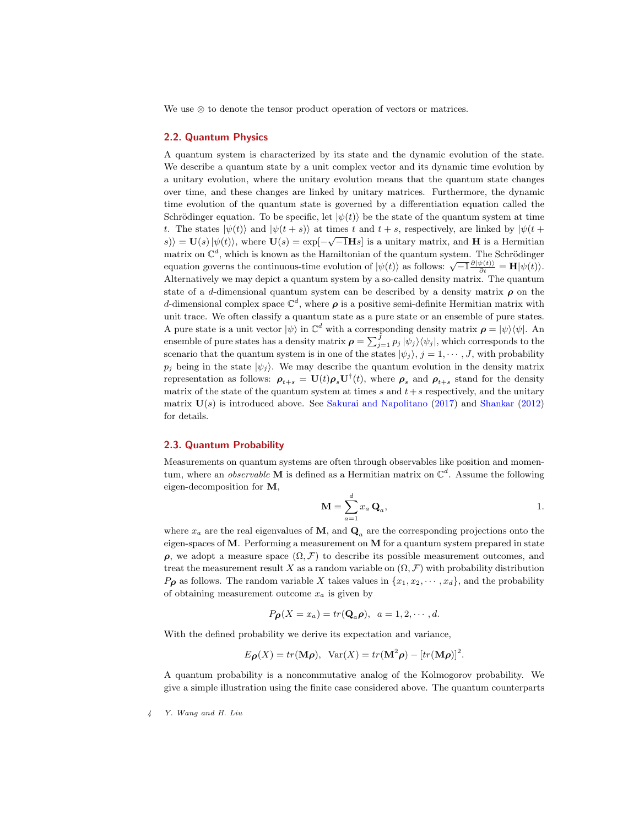We use ⊗ to denote the tensor product operation of vectors or matrices.

# <span id="page-3-0"></span>2.2. Quantum Physics

A quantum system is characterized by its state and the dynamic evolution of the state. We describe a quantum state by a unit complex vector and its dynamic time evolution by a unitary evolution, where the unitary evolution means that the quantum state changes over time, and these changes are linked by unitary matrices. Furthermore, the dynamic time evolution of the quantum state is governed by a differentiation equation called the Schrödinger equation. To be specific, let  $|\psi(t)\rangle$  be the state of the quantum system at time t. The states  $|\psi(t)\rangle$  and  $|\psi(t + s)\rangle$  at times t and  $t + s$ , respectively, are linked by  $|\psi(t + s)\rangle$  $\langle s \rangle_i = \mathbf{U}(s) \, | \psi(t) \rangle$ , where  $\mathbf{U}(s) = \exp[-\sqrt{-1} \mathbf{H} s]$  is a unitary matrix, and H is a Hermitian matrix on  $\mathbb{C}^d$ , which is known as the Hamiltonian of the quantum system. The Schrödinger equation governs the continuous-time evolution of  $|\psi(t)\rangle$  as follows:  $\sqrt{-1} \frac{\partial |\psi(t)\rangle}{\partial t} = \mathbf{H} |\psi(t)\rangle$ . Alternatively we may depict a quantum system by a so-called density matrix. The quantum state of a d-dimensional quantum system can be described by a density matrix  $\rho$  on the d-dimensional complex space  $\mathbb{C}^d$ , where  $\rho$  is a positive semi-definite Hermitian matrix with unit trace. We often classify a quantum state as a pure state or an ensemble of pure states. A pure state is a unit vector  $|\psi\rangle$  in  $\mathbb{C}^d$  with a corresponding density matrix  $\rho = |\psi\rangle\langle\psi|$ . An ensemble of pure states has a density matrix  $\rho = \sum_{j=1}^{J} p_j |\psi_j\rangle\langle\psi_j|$ , which corresponds to the scenario that the quantum system is in one of the states  $|\psi_j\rangle$ ,  $j = 1, \dots, J$ , with probability  $p_j$  being in the state  $|\psi_j\rangle$ . We may describe the quantum evolution in the density matrix representation as follows:  $\rho_{t+s} = \mathbf{U}(t)\rho_s\mathbf{U}^\dagger(t)$ , where  $\rho_s$  and  $\rho_{t+s}$  stand for the density matrix of the state of the quantum system at times s and  $t+s$  respectively, and the unitary matrix  $U(s)$  is introduced above. See [Sakurai and Napolitano](#page-27-4) [\(2017\)](#page-27-4) and [Shankar](#page-27-5) [\(2012\)](#page-27-5) for details.

#### <span id="page-3-1"></span>2.3. Quantum Probability

Measurements on quantum systems are often through observables like position and momentum, where an *observable* **M** is defined as a Hermitian matrix on  $\mathbb{C}^d$ . Assume the following eigen-decomposition for M,

$$
\mathbf{M} = \sum_{a=1}^{d} x_a \, \mathbf{Q}_a, \qquad \qquad 1.
$$

where  $x_a$  are the real eigenvalues of M, and  $\mathbf{Q}_a$  are the corresponding projections onto the eigen-spaces of  $M$ . Performing a measurement on  $M$  for a quantum system prepared in state  $ρ$ , we adopt a measure space  $(Ω, F)$  to describe its possible measurement outcomes, and treat the measurement result X as a random variable on  $(\Omega, \mathcal{F})$  with probability distribution  $P_{\boldsymbol{\rho}}$  as follows. The random variable X takes values in  $\{x_1, x_2, \dots, x_d\}$ , and the probability of obtaining measurement outcome  $x_a$  is given by

$$
P_{\boldsymbol{\beta}}(X=x_a)=tr(\mathbf{Q}_a{\boldsymbol{\rho}}), a=1,2,\cdots,d.
$$

With the defined probability we derive its expectation and variance,

$$
E_{\boldsymbol{\rho}}(X) = tr(\mathbf{M}\boldsymbol{\rho}), \ \ \text{Var}(X) = tr(\mathbf{M}^2\boldsymbol{\rho}) - [tr(\mathbf{M}\boldsymbol{\rho})]^2.
$$

A quantum probability is a noncommutative analog of the Kolmogorov probability. We give a simple illustration using the finite case considered above. The quantum counterparts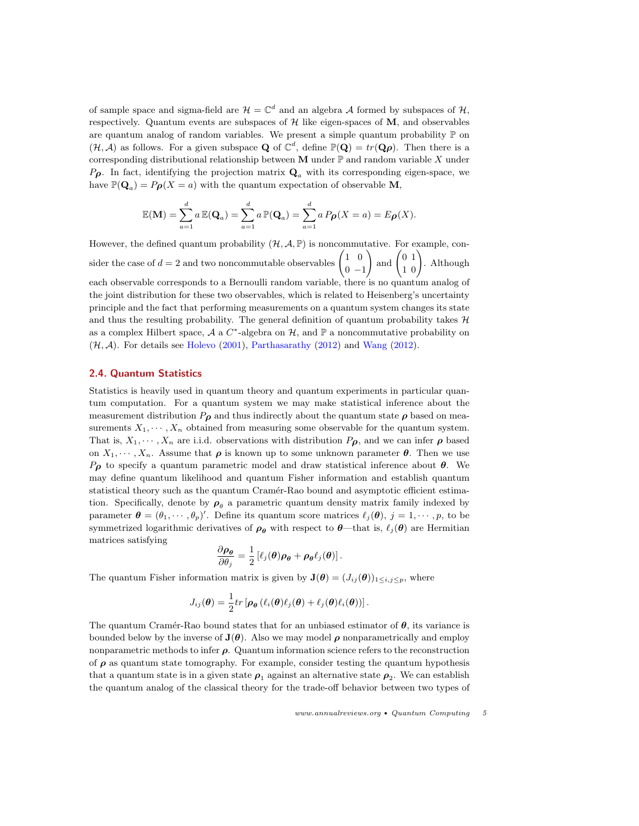of sample space and sigma-field are  $\mathcal{H} = \mathbb{C}^d$  and an algebra A formed by subspaces of  $\mathcal{H}$ , respectively. Quantum events are subspaces of  $H$  like eigen-spaces of  $M$ , and observables are quantum analog of random variables. We present a simple quantum probability  $\mathbb P$  on  $(\mathcal{H}, \mathcal{A})$  as follows. For a given subspace **Q** of  $\mathbb{C}^d$ , define  $\mathbb{P}(\mathbf{Q}) = tr(\mathbf{Q}\rho)$ . Then there is a corresponding distributional relationship between M under  $\mathbb P$  and random variable X under  $P_{\rho}$ . In fact, identifying the projection matrix  $\mathbf{Q}_{a}$  with its corresponding eigen-space, we have  $\mathbb{P}(\mathbf{Q}_a) = P_{\boldsymbol{\rho}}(X = a)$  with the quantum expectation of observable M,

$$
\mathbb{E}(\mathbf{M}) = \sum_{a=1}^d a \mathbb{E}(\mathbf{Q}_a) = \sum_{a=1}^d a \mathbb{P}(\mathbf{Q}_a) = \sum_{a=1}^d a P_{\boldsymbol{\beta}}(X = a) = E_{\boldsymbol{\beta}}(X).
$$

However, the defined quantum probability  $(H, \mathcal{A}, \mathbb{P})$  is noncommutative. For example, consider the case of  $d = 2$  and two noncommutable observables  $\begin{pmatrix} 1 & 0 \\ 0 & 1 \end{pmatrix}$  $0 -1$  $\binom{0}{1}$  and  $\binom{0}{1}$ . Although each observable corresponds to a Bernoulli random variable, there is no quantum analog of the joint distribution for these two observables, which is related to Heisenberg's uncertainty principle and the fact that performing measurements on a quantum system changes its state and thus the resulting probability. The general definition of quantum probability takes  $H$ as a complex Hilbert space, A a  $C^*$ -algebra on  $\mathcal{H}$ , and  $\mathbb P$  a noncommutative probability on  $(\mathcal{H}, \mathcal{A})$ . For details see [Holevo](#page-26-0) [\(2001\)](#page-26-0), [Parthasarathy](#page-27-6) [\(2012\)](#page-27-0) and [Wang](#page-27-0) (2012).

#### <span id="page-4-0"></span>2.4. Quantum Statistics

Statistics is heavily used in quantum theory and quantum experiments in particular quantum computation. For a quantum system we may make statistical inference about the measurement distribution  $P_{\rho}$  and thus indirectly about the quantum state  $\rho$  based on measurements  $X_1, \dots, X_n$  obtained from measuring some observable for the quantum system. That is,  $X_1, \dots, X_n$  are i.i.d. observations with distribution  $P_{\rho}$ , and we can infer  $\rho$  based on  $X_1, \dots, X_n$ . Assume that  $\rho$  is known up to some unknown parameter  $\theta$ . Then we use  $P_{\boldsymbol{\rho}}$  to specify a quantum parametric model and draw statistical inference about  $\boldsymbol{\theta}$ . We may define quantum likelihood and quantum Fisher information and establish quantum statistical theory such as the quantum Cramér-Rao bound and asymptotic efficient estimation. Specifically, denote by  $\rho_{\theta}$  a parametric quantum density matrix family indexed by parameter  $\boldsymbol{\theta} = (\theta_1, \dots, \theta_p)'$ . Define its quantum score matrices  $\ell_j(\boldsymbol{\theta}), j = 1, \dots, p$ , to be symmetrized logarithmic derivatives of  $\rho_{\theta}$  with respect to  $\theta$ —that is,  $\ell_j(\theta)$  are Hermitian matrices satisfying

$$
\frac{\partial \rho_{\theta}}{\partial \theta_j} = \frac{1}{2} \left[ \ell_j(\theta) \rho_{\theta} + \rho_{\theta} \ell_j(\theta) \right].
$$

The quantum Fisher information matrix is given by  $\mathbf{J}(\boldsymbol{\theta}) = (J_{ij}(\boldsymbol{\theta}))_{1 \leq i,j \leq p}$ , where

$$
J_{ij}(\boldsymbol{\theta}) = \frac{1}{2} tr \left[ \boldsymbol{\rho}_{\boldsymbol{\theta}} \left( \ell_i(\boldsymbol{\theta}) \ell_j(\boldsymbol{\theta}) + \ell_j(\boldsymbol{\theta}) \ell_i(\boldsymbol{\theta}) \right) \right].
$$

The quantum Cramér-Rao bound states that for an unbiased estimator of  $\theta$ , its variance is bounded below by the inverse of  $J(\theta)$ . Also we may model  $\rho$  nonparametrically and employ nonparametric methods to infer  $\rho$ . Quantum information science refers to the reconstruction of  $\rho$  as quantum state tomography. For example, consider testing the quantum hypothesis that a quantum state is in a given state  $\rho_1$  against an alternative state  $\rho_2$ . We can establish the quantum analog of the classical theory for the trade-off behavior between two types of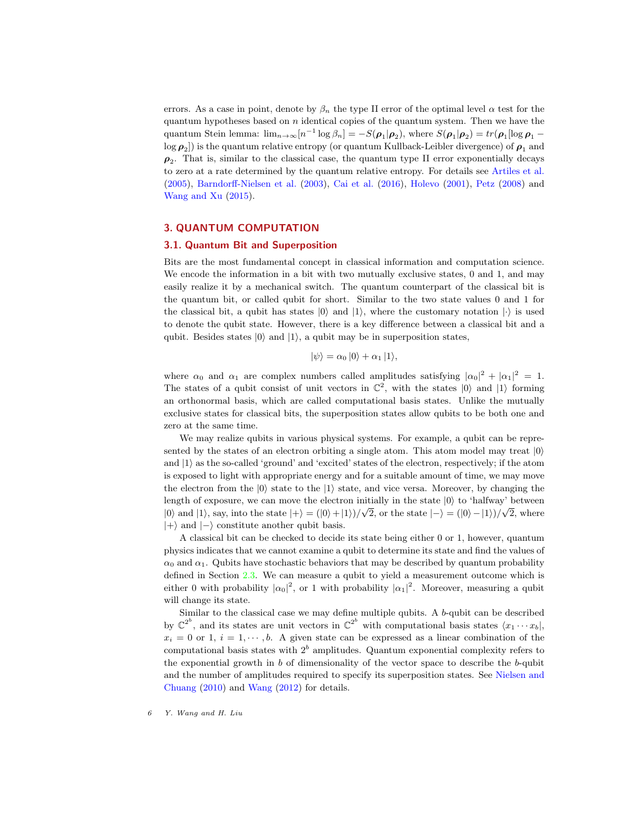errors. As a case in point, denote by  $\beta_n$  the type II error of the optimal level  $\alpha$  test for the quantum hypotheses based on  $n$  identical copies of the quantum system. Then we have the quantum Stein lemma:  $\lim_{n\to\infty} [n^{-1}\log\beta_n] = -S(\rho_1|\rho_2)$ , where  $S(\rho_1|\rho_2) = tr(\rho_1[\log\rho_1 - \frac{1}{2}]\rho_2)$  $\log{\bm{\rho}_2}]$ ) is the quantum relative entropy (or quantum Kullback-Leibler divergence) of  $\bm{\rho}_1$  and  $\rho_2$ . That is, similar to the classical case, the quantum type II error exponentially decays to zero at a rate determined by the quantum relative entropy. For details see [Artiles et al.](#page-25-1) [\(2005\)](#page-25-1), [Barndorff-Nielsen et al.](#page-25-2) [\(2003\)](#page-25-2), [Cai et al.](#page-26-1) [\(2016\)](#page-26-1), [Holevo](#page-26-0) [\(2001\)](#page-26-0), [Petz](#page-27-7) [\(2008\)](#page-27-7) and [Wang and Xu](#page-27-8) [\(2015\)](#page-27-8).

### <span id="page-5-0"></span>3. QUANTUM COMPUTATION

#### <span id="page-5-1"></span>3.1. Quantum Bit and Superposition

Bits are the most fundamental concept in classical information and computation science. We encode the information in a bit with two mutually exclusive states, 0 and 1, and may easily realize it by a mechanical switch. The quantum counterpart of the classical bit is the quantum bit, or called qubit for short. Similar to the two state values 0 and 1 for the classical bit, a qubit has states  $|0\rangle$  and  $|1\rangle$ , where the customary notation  $|\cdot\rangle$  is used to denote the qubit state. However, there is a key difference between a classical bit and a qubit. Besides states  $|0\rangle$  and  $|1\rangle$ , a qubit may be in superposition states,

$$
|\psi\rangle = \alpha_0 |0\rangle + \alpha_1 |1\rangle,
$$

where  $\alpha_0$  and  $\alpha_1$  are complex numbers called amplitudes satisfying  $|\alpha_0|^2 + |\alpha_1|^2 = 1$ . The states of a qubit consist of unit vectors in  $\mathbb{C}^2$ , with the states  $|0\rangle$  and  $|1\rangle$  forming an orthonormal basis, which are called computational basis states. Unlike the mutually exclusive states for classical bits, the superposition states allow qubits to be both one and zero at the same time.

We may realize qubits in various physical systems. For example, a qubit can be represented by the states of an electron orbiting a single atom. This atom model may treat  $|0\rangle$ and  $|1\rangle$  as the so-called 'ground' and 'excited' states of the electron, respectively; if the atom is exposed to light with appropriate energy and for a suitable amount of time, we may move the electron from the  $|0\rangle$  state to the  $|1\rangle$  state, and vice versa. Moreover, by changing the length of exposure, we can move the electron initially in the state  $|0\rangle$  to 'halfway' between  $|0\rangle$  and  $|1\rangle$ , say, into the state  $|+\rangle = (|0\rangle + |1\rangle)/\sqrt{2}$ , or the state  $|-\rangle = (|0\rangle - |1\rangle)/\sqrt{2}$ , where  $|+\rangle$  and  $|-\rangle$  constitute another qubit basis.

A classical bit can be checked to decide its state being either 0 or 1, however, quantum physics indicates that we cannot examine a qubit to determine its state and find the values of  $\alpha_0$  and  $\alpha_1$ . Qubits have stochastic behaviors that may be described by quantum probability defined in Section [2.3.](#page-3-1) We can measure a qubit to yield a measurement outcome which is either 0 with probability  $|\alpha_0|^2$ , or 1 with probability  $|\alpha_1|^2$ . Moreover, measuring a qubit will change its state.

Similar to the classical case we may define multiple qubits. A b-qubit can be described by  $\mathbb{C}^{2^b}$ , and its states are unit vectors in  $\mathbb{C}^{2^b}$  with computational basis states  $\langle x_1 \cdots x_b |$ ,  $x_i = 0$  or 1,  $i = 1, \dots, b$ . A given state can be expressed as a linear combination of the computational basis states with  $2^b$  amplitudes. Quantum exponential complexity refers to the exponential growth in b of dimensionality of the vector space to describe the b-qubit and the number of amplitudes required to specify its superposition states. See [Nielsen and](#page-27-9) [Chuang](#page-27-9) [\(2010\)](#page-27-9) and [Wang](#page-27-0) [\(2012\)](#page-27-0) for details.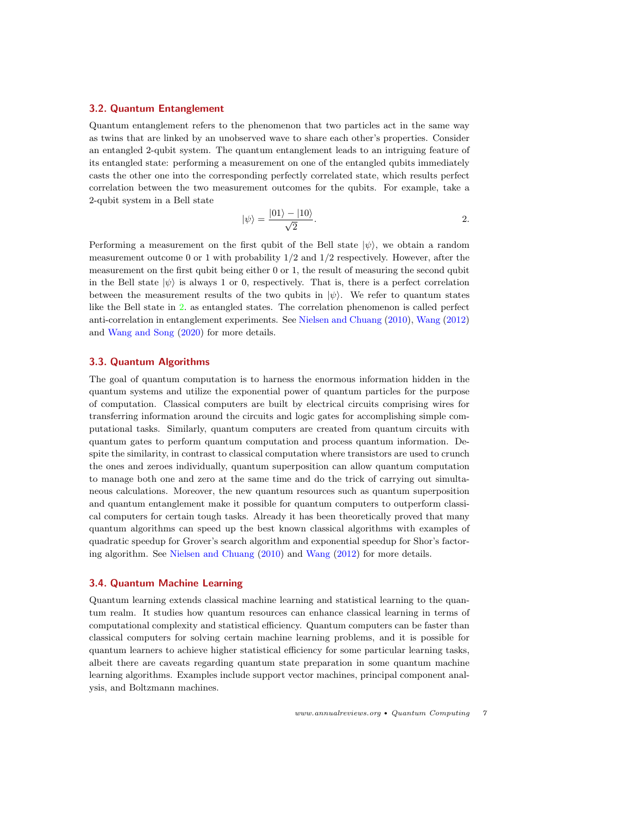### <span id="page-6-0"></span>3.2. Quantum Entanglement

Quantum entanglement refers to the phenomenon that two particles act in the same way as twins that are linked by an unobserved wave to share each other's properties. Consider an entangled 2-qubit system. The quantum entanglement leads to an intriguing feature of its entangled state: performing a measurement on one of the entangled qubits immediately casts the other one into the corresponding perfectly correlated state, which results perfect correlation between the two measurement outcomes for the qubits. For example, take a 2-qubit system in a Bell state

<span id="page-6-3"></span>
$$
|\psi\rangle = \frac{|01\rangle - |10\rangle}{\sqrt{2}}.
$$

Performing a measurement on the first qubit of the Bell state  $|\psi\rangle$ , we obtain a random measurement outcome 0 or 1 with probability  $1/2$  and  $1/2$  respectively. However, after the measurement on the first qubit being either 0 or 1, the result of measuring the second qubit in the Bell state  $|\psi\rangle$  is always 1 or 0, respectively. That is, there is a perfect correlation between the measurement results of the two qubits in  $|\psi\rangle$ . We refer to quantum states like the Bell state in [2.](#page-6-3) as entangled states. The correlation phenomenon is called perfect anti-correlation in entanglement experiments. See [Nielsen and Chuang](#page-27-9) [\(2010\)](#page-27-9), [Wang](#page-27-0) [\(2012\)](#page-27-0) and [Wang and Song](#page-27-2) [\(2020\)](#page-27-2) for more details.

# <span id="page-6-1"></span>3.3. Quantum Algorithms

The goal of quantum computation is to harness the enormous information hidden in the quantum systems and utilize the exponential power of quantum particles for the purpose of computation. Classical computers are built by electrical circuits comprising wires for transferring information around the circuits and logic gates for accomplishing simple computational tasks. Similarly, quantum computers are created from quantum circuits with quantum gates to perform quantum computation and process quantum information. Despite the similarity, in contrast to classical computation where transistors are used to crunch the ones and zeroes individually, quantum superposition can allow quantum computation to manage both one and zero at the same time and do the trick of carrying out simultaneous calculations. Moreover, the new quantum resources such as quantum superposition and quantum entanglement make it possible for quantum computers to outperform classical computers for certain tough tasks. Already it has been theoretically proved that many quantum algorithms can speed up the best known classical algorithms with examples of quadratic speedup for Grover's search algorithm and exponential speedup for Shor's factoring algorithm. See [Nielsen and Chuang](#page-27-9) [\(2010\)](#page-27-9) and [Wang](#page-27-0) [\(2012\)](#page-27-0) for more details.

# <span id="page-6-2"></span>3.4. Quantum Machine Learning

Quantum learning extends classical machine learning and statistical learning to the quantum realm. It studies how quantum resources can enhance classical learning in terms of computational complexity and statistical efficiency. Quantum computers can be faster than classical computers for solving certain machine learning problems, and it is possible for quantum learners to achieve higher statistical efficiency for some particular learning tasks, albeit there are caveats regarding quantum state preparation in some quantum machine learning algorithms. Examples include support vector machines, principal component analysis, and Boltzmann machines.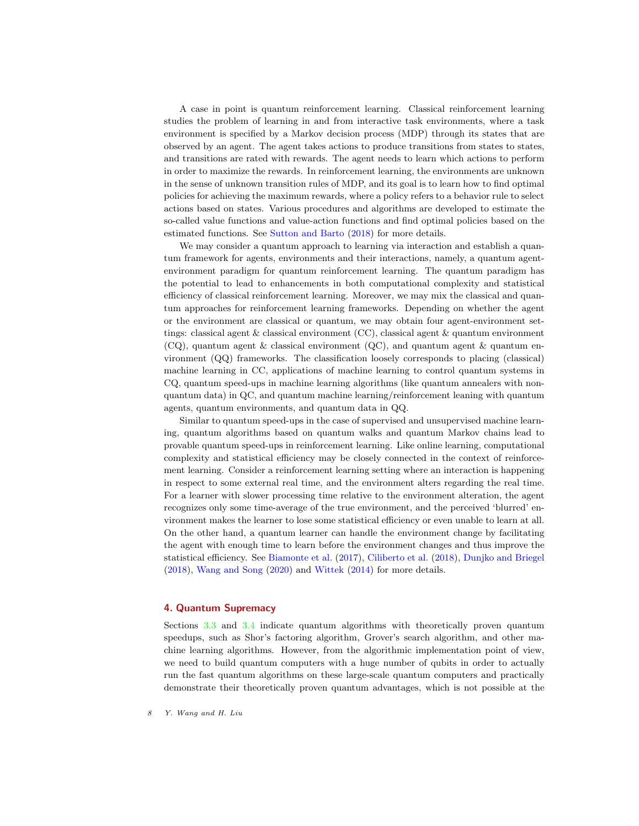A case in point is quantum reinforcement learning. Classical reinforcement learning studies the problem of learning in and from interactive task environments, where a task environment is specified by a Markov decision process (MDP) through its states that are observed by an agent. The agent takes actions to produce transitions from states to states, and transitions are rated with rewards. The agent needs to learn which actions to perform in order to maximize the rewards. In reinforcement learning, the environments are unknown in the sense of unknown transition rules of MDP, and its goal is to learn how to find optimal policies for achieving the maximum rewards, where a policy refers to a behavior rule to select actions based on states. Various procedures and algorithms are developed to estimate the so-called value functions and value-action functions and find optimal policies based on the estimated functions. See [Sutton and Barto](#page-27-10) [\(2018\)](#page-27-10) for more details.

We may consider a quantum approach to learning via interaction and establish a quantum framework for agents, environments and their interactions, namely, a quantum agentenvironment paradigm for quantum reinforcement learning. The quantum paradigm has the potential to lead to enhancements in both computational complexity and statistical efficiency of classical reinforcement learning. Moreover, we may mix the classical and quantum approaches for reinforcement learning frameworks. Depending on whether the agent or the environment are classical or quantum, we may obtain four agent-environment settings: classical agent & classical environment (CC), classical agent & quantum environment  $(CQ)$ , quantum agent & classical environment  $(QC)$ , and quantum agent & quantum environment (QQ) frameworks. The classification loosely corresponds to placing (classical) machine learning in CC, applications of machine learning to control quantum systems in CQ, quantum speed-ups in machine learning algorithms (like quantum annealers with nonquantum data) in QC, and quantum machine learning/reinforcement leaning with quantum agents, quantum environments, and quantum data in QQ.

Similar to quantum speed-ups in the case of supervised and unsupervised machine learning, quantum algorithms based on quantum walks and quantum Markov chains lead to provable quantum speed-ups in reinforcement learning. Like online learning, computational complexity and statistical efficiency may be closely connected in the context of reinforcement learning. Consider a reinforcement learning setting where an interaction is happening in respect to some external real time, and the environment alters regarding the real time. For a learner with slower processing time relative to the environment alteration, the agent recognizes only some time-average of the true environment, and the perceived 'blurred' environment makes the learner to lose some statistical efficiency or even unable to learn at all. On the other hand, a quantum learner can handle the environment change by facilitating the agent with enough time to learn before the environment changes and thus improve the statistical efficiency. See [Biamonte et al.](#page-25-3) [\(2017\)](#page-25-3), [Ciliberto et al.](#page-26-2) [\(2018\)](#page-26-2), [Dunjko and Briegel](#page-26-3) [\(2018\)](#page-26-3), [Wang and Song](#page-27-2) [\(2020\)](#page-27-2) and [Wittek](#page-27-11) [\(2014\)](#page-27-11) for more details.

# <span id="page-7-0"></span>4. Quantum Supremacy

Sections [3.3](#page-6-1) and [3.4](#page-6-2) indicate quantum algorithms with theoretically proven quantum speedups, such as Shor's factoring algorithm, Grover's search algorithm, and other machine learning algorithms. However, from the algorithmic implementation point of view, we need to build quantum computers with a huge number of qubits in order to actually run the fast quantum algorithms on these large-scale quantum computers and practically demonstrate their theoretically proven quantum advantages, which is not possible at the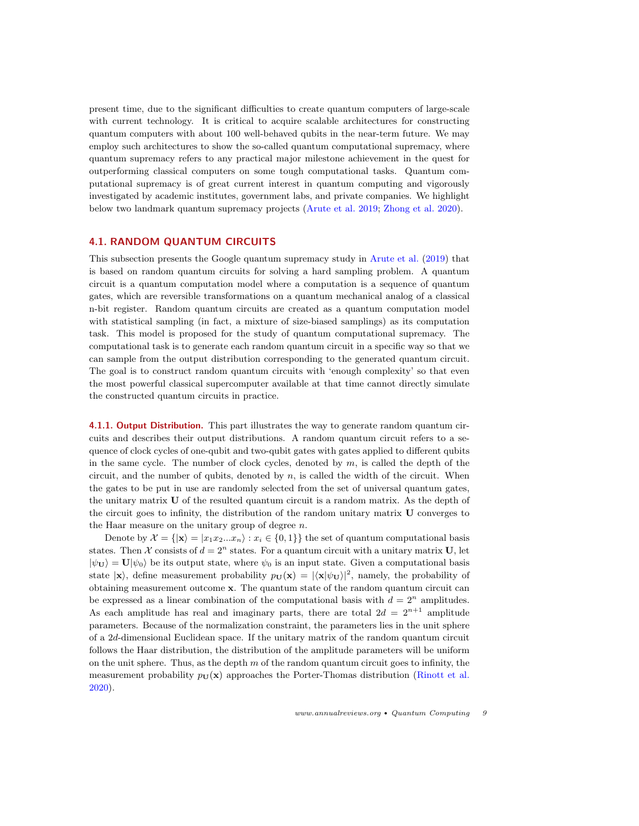present time, due to the significant difficulties to create quantum computers of large-scale with current technology. It is critical to acquire scalable architectures for constructing quantum computers with about 100 well-behaved qubits in the near-term future. We may employ such architectures to show the so-called quantum computational supremacy, where quantum supremacy refers to any practical major milestone achievement in the quest for outperforming classical computers on some tough computational tasks. Quantum computational supremacy is of great current interest in quantum computing and vigorously investigated by academic institutes, government labs, and private companies. We highlight below two landmark quantum supremacy projects [\(Arute et al.](#page-25-0) [2019;](#page-25-0) [Zhong et al.](#page-27-3) [2020\)](#page-27-3).

### <span id="page-8-0"></span>4.1. RANDOM QUANTUM CIRCUITS

This subsection presents the Google quantum supremacy study in [Arute et al.](#page-25-0) [\(2019\)](#page-25-0) that is based on random quantum circuits for solving a hard sampling problem. A quantum circuit is a quantum computation model where a computation is a sequence of quantum gates, which are reversible transformations on a quantum mechanical analog of a classical n-bit register. Random quantum circuits are created as a quantum computation model with statistical sampling (in fact, a mixture of size-biased samplings) as its computation task. This model is proposed for the study of quantum computational supremacy. The computational task is to generate each random quantum circuit in a specific way so that we can sample from the output distribution corresponding to the generated quantum circuit. The goal is to construct random quantum circuits with 'enough complexity' so that even the most powerful classical supercomputer available at that time cannot directly simulate the constructed quantum circuits in practice.

<span id="page-8-1"></span>4.1.1. Output Distribution. This part illustrates the way to generate random quantum circuits and describes their output distributions. A random quantum circuit refers to a sequence of clock cycles of one-qubit and two-qubit gates with gates applied to different qubits in the same cycle. The number of clock cycles, denoted by  $m$ , is called the depth of the circuit, and the number of qubits, denoted by  $n$ , is called the width of the circuit. When the gates to be put in use are randomly selected from the set of universal quantum gates, the unitary matrix U of the resulted quantum circuit is a random matrix. As the depth of the circuit goes to infinity, the distribution of the random unitary matrix U converges to the Haar measure on the unitary group of degree  $n$ .

Denote by  $\mathcal{X} = \{|\mathbf{x}\rangle = |x_1x_2...x_n\rangle : x_i \in \{0,1\}\}\$  the set of quantum computational basis states. Then X consists of  $d = 2^n$  states. For a quantum circuit with a unitary matrix U, let  $|\psi_{\mathbf{U}}\rangle = \mathbf{U}|\psi_0\rangle$  be its output state, where  $\psi_0$  is an input state. Given a computational basis state  $|\mathbf{x}\rangle$ , define measurement probability  $p_U(\mathbf{x}) = |\langle \mathbf{x} | \psi_U \rangle|^2$ , namely, the probability of obtaining measurement outcome  $x$ . The quantum state of the random quantum circuit can be expressed as a linear combination of the computational basis with  $d = 2^n$  amplitudes. As each amplitude has real and imaginary parts, there are total  $2d = 2^{n+1}$  amplitude parameters. Because of the normalization constraint, the parameters lies in the unit sphere of a 2d-dimensional Euclidean space. If the unitary matrix of the random quantum circuit follows the Haar distribution, the distribution of the amplitude parameters will be uniform on the unit sphere. Thus, as the depth  $m$  of the random quantum circuit goes to infinity, the measurement probability  $p_{\text{U}}(\textbf{x})$  approaches the Porter-Thomas distribution [\(Rinott et al.](#page-27-12) [2020\)](#page-27-12).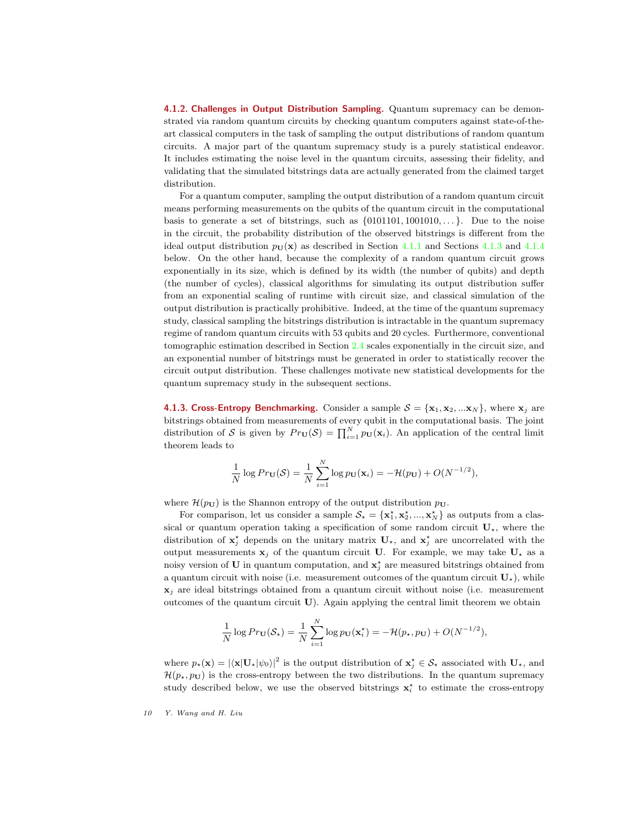4.1.2. Challenges in Output Distribution Sampling. Quantum supremacy can be demonstrated via random quantum circuits by checking quantum computers against state-of-theart classical computers in the task of sampling the output distributions of random quantum circuits. A major part of the quantum supremacy study is a purely statistical endeavor. It includes estimating the noise level in the quantum circuits, assessing their fidelity, and validating that the simulated bitstrings data are actually generated from the claimed target distribution.

For a quantum computer, sampling the output distribution of a random quantum circuit means performing measurements on the qubits of the quantum circuit in the computational basis to generate a set of bitstrings, such as  $\{0101101, 1001010, \ldots\}$ . Due to the noise in the circuit, the probability distribution of the observed bitstrings is different from the ideal output distribution  $p_U(\mathbf{x})$  as described in Section [4.1.1](#page-8-1) and Sections [4.1.3](#page-9-0) and [4.1.4](#page-10-0) below. On the other hand, because the complexity of a random quantum circuit grows exponentially in its size, which is defined by its width (the number of qubits) and depth (the number of cycles), classical algorithms for simulating its output distribution suffer from an exponential scaling of runtime with circuit size, and classical simulation of the output distribution is practically prohibitive. Indeed, at the time of the quantum supremacy study, classical sampling the bitstrings distribution is intractable in the quantum supremacy regime of random quantum circuits with 53 qubits and 20 cycles. Furthermore, conventional tomographic estimation described in Section [2.4](#page-4-0) scales exponentially in the circuit size, and an exponential number of bitstrings must be generated in order to statistically recover the circuit output distribution. These challenges motivate new statistical developments for the quantum supremacy study in the subsequent sections.

<span id="page-9-0"></span>4.1.3. Cross-Entropy Benchmarking. Consider a sample  $S = \{x_1, x_2, ... x_N\}$ , where  $x_j$  are bitstrings obtained from measurements of every qubit in the computational basis. The joint distribution of S is given by  $Pr_{\mathbf{U}}(\mathcal{S}) = \prod_{i=1}^{N} p_{\mathbf{U}}(\mathbf{x}_i)$ . An application of the central limit theorem leads to

$$
\frac{1}{N}\log Pr_{\mathbf{U}}(\mathcal{S})=\frac{1}{N}\sum_{i=1}^N\log p_{\mathbf{U}}(\mathbf{x}_i)=-\mathcal{H}(p_{\mathbf{U}})+O(N^{-1/2}),
$$

where  $\mathcal{H}(p_{\mathbf{U}})$  is the Shannon entropy of the output distribution  $p_{\mathbf{U}}$ .

For comparison, let us consider a sample  $S_{\star} = {\mathbf{x}_1^{\star}, \mathbf{x}_2^{\star}, ..., \mathbf{x}_N^{\star}}$  as outputs from a classical or quantum operation taking a specification of some random circuit  $U_{\star}$ , where the distribution of  $\mathbf{x}_j^*$  depends on the unitary matrix  $\mathbf{U}_{\star}$ , and  $\mathbf{x}_j^*$  are uncorrelated with the output measurements  $x_i$  of the quantum circuit U. For example, we may take  $U_x$  as a noisy version of U in quantum computation, and  $\mathbf{x}_j^{\star}$  are measured bitstrings obtained from a quantum circuit with noise (i.e. measurement outcomes of the quantum circuit  $\mathbf{U}_{\star}$ ), while  $x_j$  are ideal bitstrings obtained from a quantum circuit without noise (i.e. measurement outcomes of the quantum circuit U). Again applying the central limit theorem we obtain

$$
\frac{1}{N}\log Pr_{\mathbf{U}}(\mathcal{S}_\star)=\frac{1}{N}\sum_{i=1}^N\log p_{\mathbf{U}}(\mathbf{x}_i^\star)=-\mathcal{H}(p_\star,p_{\mathbf{U}})+O(N^{-1/2}),
$$

where  $p_{\star}(\mathbf{x}) = |\langle \mathbf{x} | \mathbf{U}_{\star} | \psi_0 \rangle|^2$  is the output distribution of  $\mathbf{x}_{j}^{\star} \in \mathcal{S}_{\star}$  associated with  $\mathbf{U}_{\star}$ , and  $\mathcal{H}(p_{\star}, p_{\mathbf{U}})$  is the cross-entropy between the two distributions. In the quantum supremacy study described below, we use the observed bitstrings  $x_i^*$  to estimate the cross-entropy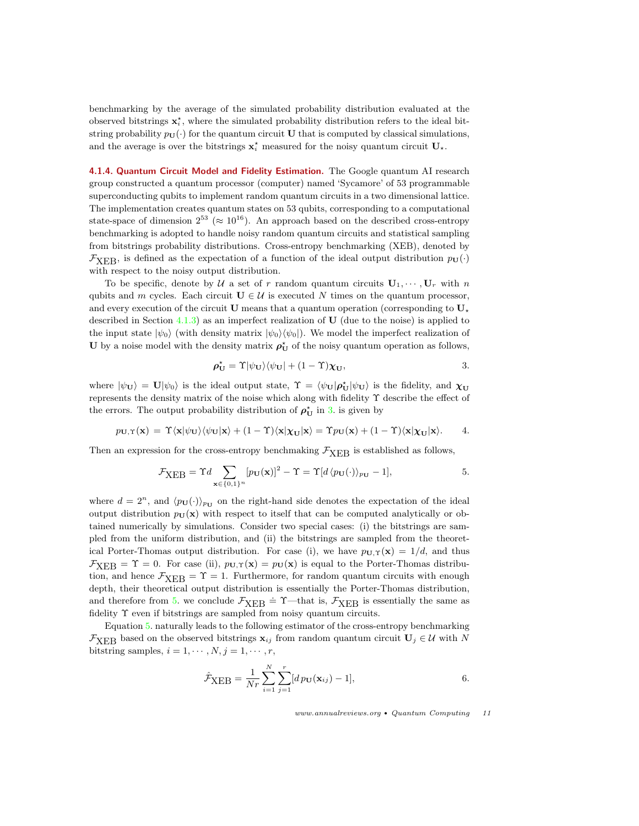benchmarking by the average of the simulated probability distribution evaluated at the observed bitstrings  $\mathbf{x}_i^*$ , where the simulated probability distribution refers to the ideal bitstring probability  $p_U(\cdot)$  for the quantum circuit U that is computed by classical simulations, and the average is over the bitstrings  $\mathbf{x}_i^*$  measured for the noisy quantum circuit  $\mathbf{U}_\star$ .

<span id="page-10-0"></span>4.1.4. Quantum Circuit Model and Fidelity Estimation. The Google quantum AI research group constructed a quantum processor (computer) named 'Sycamore' of 53 programmable superconducting qubits to implement random quantum circuits in a two dimensional lattice. The implementation creates quantum states on 53 qubits, corresponding to a computational state-space of dimension  $2^{53}$  ( $\approx 10^{16}$ ). An approach based on the described cross-entropy benchmarking is adopted to handle noisy random quantum circuits and statistical sampling from bitstrings probability distributions. Cross-entropy benchmarking (XEB), denoted by  $\mathcal{F}_{\text{XER}}$ , is defined as the expectation of a function of the ideal output distribution  $p_{\text{U}}(\cdot)$ with respect to the noisy output distribution.

To be specific, denote by U a set of r random quantum circuits  $\mathbf{U}_1, \cdots, \mathbf{U}_r$  with n qubits and m cycles. Each circuit  $U \in \mathcal{U}$  is executed N times on the quantum processor, and every execution of the circuit U means that a quantum operation (corresponding to  $U_{\star}$ described in Section [4.1.3\)](#page-9-0) as an imperfect realization of  $U$  (due to the noise) is applied to the input state  $|\psi_0\rangle$  (with density matrix  $|\psi_0\rangle\langle\psi_0|$ ). We model the imperfect realization of U by a noise model with the density matrix  $\rho_U^*$  of the noisy quantum operation as follows,

<span id="page-10-1"></span>
$$
\rho_{\mathbf{U}}^* = \Upsilon |\psi_{\mathbf{U}}\rangle \langle \psi_{\mathbf{U}}| + (1 - \Upsilon) \chi_{\mathbf{U}}, \tag{3}
$$

where  $|\psi_{\mathbf{U}}\rangle = \mathbf{U}|\psi_0\rangle$  is the ideal output state,  $\Upsilon = \langle \psi_{\mathbf{U}} | \rho_{\mathbf{U}}^{\star} | \psi_{\mathbf{U}} \rangle$  is the fidelity, and  $\chi_{\mathbf{U}}$ represents the density matrix of the noise which along with fidelity Υ describe the effect of the errors. The output probability distribution of  $\rho_U^*$  in [3.](#page-10-1) is given by

$$
p_{\mathbf{U},\Upsilon}(\mathbf{x}) = \Upsilon \langle \mathbf{x} | \psi_{\mathbf{U}} \rangle \langle \psi_{\mathbf{U}} | \mathbf{x} \rangle + (1-\Upsilon) \langle \mathbf{x} | \chi_{\mathbf{U}} | \mathbf{x} \rangle = \Upsilon p_{\mathbf{U}}(\mathbf{x}) + (1-\Upsilon) \langle \mathbf{x} | \chi_{\mathbf{U}} | \mathbf{x} \rangle.
$$
 4.

Then an expression for the cross-entropy benchmaking  $\mathcal{F}_{XFB}$  is established as follows,

<span id="page-10-2"></span>
$$
\mathcal{F}_{\text{XEB}} = \Upsilon d \sum_{\mathbf{x} \in \{0,1\}^n} [p_{\mathbf{U}}(\mathbf{x})]^2 - \Upsilon = \Upsilon [d \langle p_{\mathbf{U}}(\cdot) \rangle_{p_{\mathbf{U}}} - 1], \tag{5.}
$$

where  $d = 2^n$ , and  $\langle p_{\mathbf{U}}(\cdot) \rangle_{p_{\mathbf{U}}}$  on the right-hand side denotes the expectation of the ideal output distribution  $p_U(x)$  with respect to itself that can be computed analytically or obtained numerically by simulations. Consider two special cases: (i) the bitstrings are sampled from the uniform distribution, and (ii) the bitstrings are sampled from the theoretical Porter-Thomas output distribution. For case (i), we have  $p_{\mathbf{U},\Upsilon}(\mathbf{x}) = 1/d$ , and thus  $\mathcal{F}_{\text{XER}} = \Upsilon = 0$ . For case (ii),  $p_{\text{U},\Upsilon}(\mathbf{x}) = p_{\text{U}}(\mathbf{x})$  is equal to the Porter-Thomas distribution, and hence  $\mathcal{F}_{XEB} = \Upsilon = 1$ . Furthermore, for random quantum circuits with enough depth, their theoretical output distribution is essentially the Porter-Thomas distribution, and therefore from [5.](#page-10-2) we conclude  $\mathcal{F}_{XEB} = \Upsilon$ —that is,  $\mathcal{F}_{XEB}$  is essentially the same as fidelity Υ even if bitstrings are sampled from noisy quantum circuits.

Equation [5.](#page-10-2) naturally leads to the following estimator of the cross-entropy benchmarking  $\mathcal{F}_{\text{XER}}$  based on the observed bitstrings  $\mathbf{x}_{ij}$  from random quantum circuit  $\mathbf{U}_j \in \mathcal{U}$  with N bitstring samples,  $i = 1, \dots, N, j = 1, \dots, r$ ,

<span id="page-10-3"></span>
$$
\hat{\mathcal{F}}_{\text{XEB}} = \frac{1}{Nr} \sum_{i=1}^{N} \sum_{j=1}^{r} [dp_{\mathbf{U}}(\mathbf{x}_{ij}) - 1], \tag{6.}
$$

www.annualreviews.org • Quantum Computing 11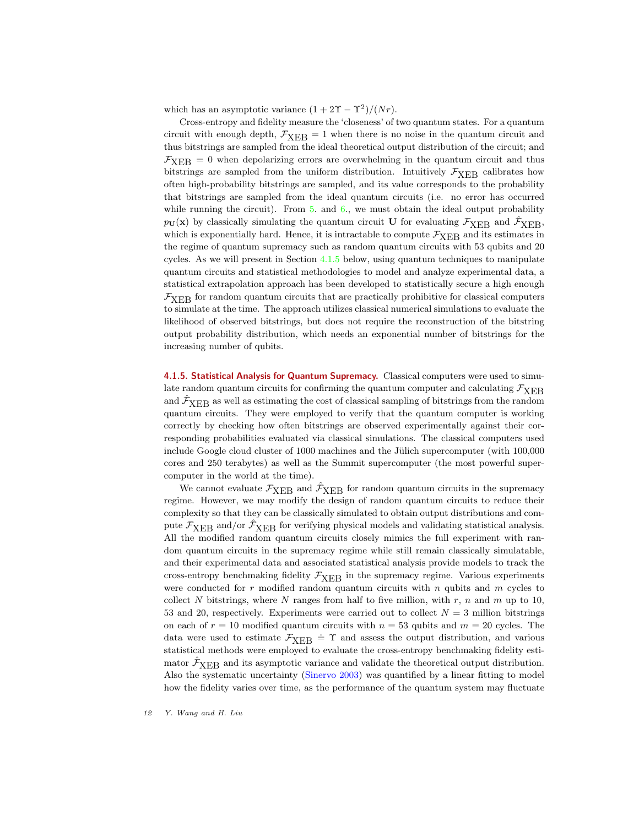which has an asymptotic variance  $(1 + 2\Upsilon - \Upsilon^2)/(Nr)$ .

Cross-entropy and fidelity measure the 'closeness' of two quantum states. For a quantum circuit with enough depth,  $\mathcal{F}_{\text{XEB}} = 1$  when there is no noise in the quantum circuit and thus bitstrings are sampled from the ideal theoretical output distribution of the circuit; and  $\mathcal{F}_{\text{XEB}} = 0$  when depolarizing errors are overwhelming in the quantum circuit and thus bitstrings are sampled from the uniform distribution. Intuitively  $\mathcal{F}_{XER}$  calibrates how often high-probability bitstrings are sampled, and its value corresponds to the probability that bitstrings are sampled from the ideal quantum circuits (i.e. no error has occurred while running the circuit). From  $5.$  and  $6.$ , we must obtain the ideal output probability  $p_U(x)$  by classically simulating the quantum circuit U for evaluating  $\mathcal{F}_{\text{XEB}}$  and  $\hat{\mathcal{F}}_{\text{XEB}}$ , which is exponentially hard. Hence, it is intractable to compute  $\mathcal{F}_{XEB}$  and its estimates in the regime of quantum supremacy such as random quantum circuits with 53 qubits and 20 cycles. As we will present in Section  $4.1.5$  below, using quantum techniques to manipulate quantum circuits and statistical methodologies to model and analyze experimental data, a statistical extrapolation approach has been developed to statistically secure a high enough  $\mathcal{F}_{\text{XER}}$  for random quantum circuits that are practically prohibitive for classical computers to simulate at the time. The approach utilizes classical numerical simulations to evaluate the likelihood of observed bitstrings, but does not require the reconstruction of the bitstring output probability distribution, which needs an exponential number of bitstrings for the increasing number of qubits.

<span id="page-11-0"></span>4.1.5. Statistical Analysis for Quantum Supremacy. Classical computers were used to simulate random quantum circuits for confirming the quantum computer and calculating  $\mathcal{F}_{\text{XEB}}$ and  $\hat{\mathcal{F}}_{\text{XEB}}$  as well as estimating the cost of classical sampling of bitstrings from the random quantum circuits. They were employed to verify that the quantum computer is working correctly by checking how often bitstrings are observed experimentally against their corresponding probabilities evaluated via classical simulations. The classical computers used include Google cloud cluster of 1000 machines and the Jülich supercomputer (with 100,000 cores and 250 terabytes) as well as the Summit supercomputer (the most powerful supercomputer in the world at the time).

We cannot evaluate  $\mathcal{F}_{\rm XEB}$  and  $\hat{\mathcal{F}}_{\rm XEB}$  for random quantum circuits in the supremacy regime. However, we may modify the design of random quantum circuits to reduce their complexity so that they can be classically simulated to obtain output distributions and compute  $\mathcal{F}_{\rm XEB}$  and/or  $\hat{\mathcal{F}}_{\rm XEB}$  for verifying physical models and validating statistical analysis. All the modified random quantum circuits closely mimics the full experiment with random quantum circuits in the supremacy regime while still remain classically simulatable, and their experimental data and associated statistical analysis provide models to track the cross-entropy benchmaking fidelity  $\mathcal{F}_{\rm XEB}$  in the supremacy regime. Various experiments were conducted for r modified random quantum circuits with n qubits and  $m$  cycles to collect N bitstrings, where N ranges from half to five million, with r, n and m up to 10, 53 and 20, respectively. Experiments were carried out to collect  $N = 3$  million bitstrings on each of  $r = 10$  modified quantum circuits with  $n = 53$  qubits and  $m = 20$  cycles. The data were used to estimate  $F_{XEB} = \Upsilon$  and assess the output distribution, and various statistical methods were employed to evaluate the cross-entropy benchmaking fidelity estimator  $\hat{\mathcal{F}}_{\text{XEB}}$  and its asymptotic variance and validate the theoretical output distribution. Also the systematic uncertainty [\(Sinervo](#page-27-13) [2003\)](#page-27-13) was quantified by a linear fitting to model how the fidelity varies over time, as the performance of the quantum system may fluctuate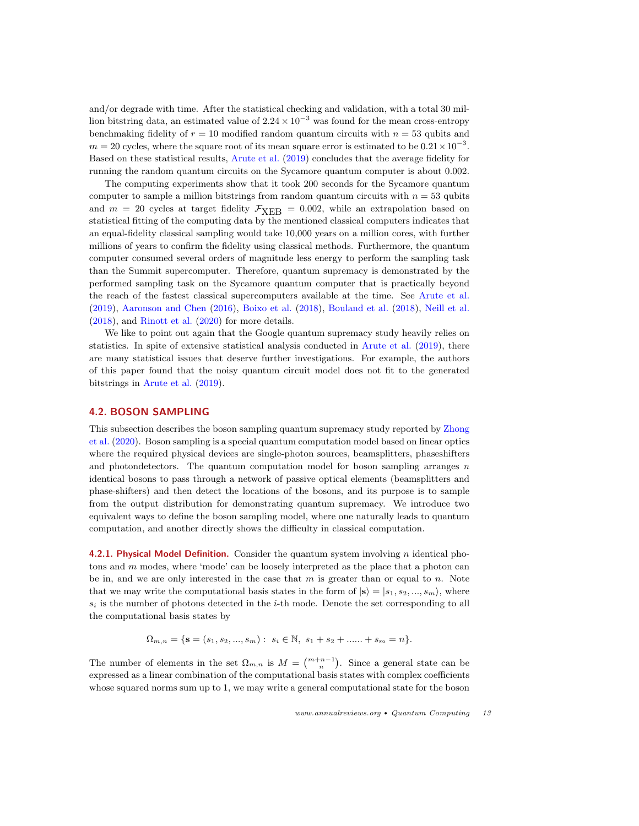and/or degrade with time. After the statistical checking and validation, with a total 30 million bitstring data, an estimated value of  $2.24 \times 10^{-3}$  was found for the mean cross-entropy benchmaking fidelity of  $r = 10$  modified random quantum circuits with  $n = 53$  qubits and  $m = 20$  cycles, where the square root of its mean square error is estimated to be  $0.21 \times 10^{-3}$ . Based on these statistical results, [Arute et al.](#page-25-0) [\(2019\)](#page-25-0) concludes that the average fidelity for running the random quantum circuits on the Sycamore quantum computer is about 0.002.

The computing experiments show that it took 200 seconds for the Sycamore quantum computer to sample a million bitstrings from random quantum circuits with  $n = 53$  qubits and  $m = 20$  cycles at target fidelity  $\mathcal{F}_{XEB} = 0.002$ , while an extrapolation based on statistical fitting of the computing data by the mentioned classical computers indicates that an equal-fidelity classical sampling would take 10,000 years on a million cores, with further millions of years to confirm the fidelity using classical methods. Furthermore, the quantum computer consumed several orders of magnitude less energy to perform the sampling task than the Summit supercomputer. Therefore, quantum supremacy is demonstrated by the performed sampling task on the Sycamore quantum computer that is practically beyond the reach of the fastest classical supercomputers available at the time. See [Arute et al.](#page-25-0) [\(2019\)](#page-25-0), [Aaronson and Chen](#page-25-4) [\(2016\)](#page-25-4), [Boixo et al.](#page-25-5) [\(2018\)](#page-25-5), [Bouland et al.](#page-26-4) [\(2018\)](#page-26-4), [Neill et al.](#page-26-5) [\(2018\)](#page-26-5), and [Rinott et al.](#page-27-12) [\(2020\)](#page-27-12) for more details.

We like to point out again that the Google quantum supremacy study heavily relies on statistics. In spite of extensive statistical analysis conducted in [Arute et al.](#page-25-0) [\(2019\)](#page-25-0), there are many statistical issues that deserve further investigations. For example, the authors of this paper found that the noisy quantum circuit model does not fit to the generated bitstrings in [Arute et al.](#page-25-0) [\(2019\)](#page-25-0).

## <span id="page-12-0"></span>4.2. BOSON SAMPLING

This subsection describes the boson sampling quantum supremacy study reported by [Zhong](#page-27-3) [et al.](#page-27-3) [\(2020\)](#page-27-3). Boson sampling is a special quantum computation model based on linear optics where the required physical devices are single-photon sources, beamsplitters, phaseshifters and photondetectors. The quantum computation model for boson sampling arranges  $n$ identical bosons to pass through a network of passive optical elements (beamsplitters and phase-shifters) and then detect the locations of the bosons, and its purpose is to sample from the output distribution for demonstrating quantum supremacy. We introduce two equivalent ways to define the boson sampling model, where one naturally leads to quantum computation, and another directly shows the difficulty in classical computation.

<span id="page-12-1"></span>4.2.1. Physical Model Definition. Consider the quantum system involving  $n$  identical photons and m modes, where 'mode' can be loosely interpreted as the place that a photon can be in, and we are only interested in the case that  $m$  is greater than or equal to  $n$ . Note that we may write the computational basis states in the form of  $|s\rangle = |s_1, s_2, ..., s_m\rangle$ , where  $s_i$  is the number of photons detected in the *i*-th mode. Denote the set corresponding to all the computational basis states by

$$
\Omega_{m,n} = \{ \mathbf{s} = (s_1, s_2, ..., s_m) : s_i \in \mathbb{N}, s_1 + s_2 + ... + s_m = n \}.
$$

The number of elements in the set  $\Omega_{m,n}$  is  $M = \binom{m+n-1}{n}$ . Since a general state can be expressed as a linear combination of the computational basis states with complex coefficients whose squared norms sum up to 1, we may write a general computational state for the boson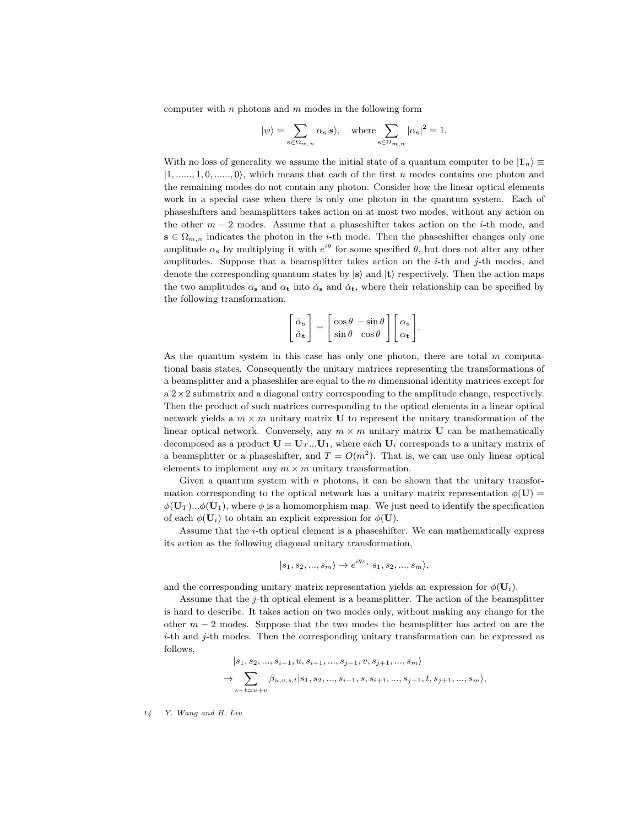computer with  $n$  photons and  $m$  modes in the following form

$$
|\psi\rangle=\sum_{\mathbf{s}\in\Omega_{m,n}}\alpha_{\mathbf{s}}|\mathbf{s}\rangle,\quad\text{where}\sum_{\mathbf{s}\in\Omega_{m,n}}\left|\alpha_{\mathbf{s}}\right|^{2}=1.
$$

With no loss of generality we assume the initial state of a quantum computer to be  $|1_n\rangle \equiv$  $|1, \ldots, 1, 0, \ldots, 0\rangle$ , which means that each of the first n modes contains one photon and the remaining modes do not contain any photon. Consider how the linear optical elements work in a special case when there is only one photon in the quantum system. Each of phaseshifters and beamsplitters takes action on at most two modes, without any action on the other  $m-2$  modes. Assume that a phases hifter takes action on the *i*-th mode, and  $\mathbf{s} \in \Omega_{m,n}$  indicates the photon in the *i*-th mode. Then the phaseshifter changes only one amplitude  $\alpha_s$  by multiplying it with  $e^{i\theta}$  for some specified  $\theta$ , but does not alter any other amplitudes. Suppose that a beamsplitter takes action on the  $i$ -th and  $j$ -th modes, and denote the corresponding quantum states by  $|s\rangle$  and  $|t\rangle$  respectively. Then the action maps the two amplitudes  $\alpha_s$  and  $\alpha_t$  into  $\alpha_s$  and  $\alpha_t$ , where their relationship can be specified by the following transformation,

<span id="page-13-0"></span>
$$
\begin{bmatrix} \check{\alpha}_{\mathbf{s}} \\ \check{\alpha}_{\mathbf{t}} \end{bmatrix} = \begin{bmatrix} \cos \theta & -\sin \theta \\ \sin \theta & \cos \theta \end{bmatrix} \begin{bmatrix} \alpha_{\mathbf{s}} \\ \alpha_{\mathbf{t}} \end{bmatrix}.
$$

As the quantum system in this case has only one photon, there are total  $m$  computational basis states. Consequently the unitary matrices representing the transformations of a beamsplitter and a phase shifer are equal to the  $m$  dimensional identity matrices except for  $a$  2 $\times$  2 submatrix and a diagonal entry corresponding to the amplitude change, respectively. Then the product of such matrices corresponding to the optical elements in a linear optical network yields a  $m \times m$  unitary matrix U to represent the unitary transformation of the linear optical network. Conversely, any  $m \times m$  unitary matrix **U** can be mathematically decomposed as a product  $\mathbf{U} = \mathbf{U}_T \dots \mathbf{U}_1$ , where each  $\mathbf{U}_i$  corresponds to a unitary matrix of a beamsplitter or a phaseshifter, and  $T = O(m^2)$ . That is, we can use only linear optical elements to implement any  $m \times m$  unitary transformation.

Given a quantum system with  $n$  photons, it can be shown that the unitary transformation corresponding to the optical network has a unitary matrix representation  $\phi(\mathbf{U}) =$  $\phi(\mathbf{U}_T)...\phi(\mathbf{U}_1)$ , where  $\phi$  is a homomorphism map. We just need to identify the specification of each  $\phi(\mathbf{U}_i)$  to obtain an explicit expression for  $\phi(\mathbf{U})$ .

Assume that the i-th optical element is a phaseshifter. We can mathematically express its action as the following diagonal unitary transformation,

$$
|s_1, s_2, ..., s_m\rangle \to e^{i\theta s_i}|s_1, s_2, ..., s_m\rangle,
$$

and the corresponding unitary matrix representation yields an expression for  $\phi(\mathbf{U}_i)$ .

Assume that the  $j$ -th optical element is a beamsplitter. The action of the beamsplitter is hard to describe. It takes action on two modes only, without making any change for the other  $m-2$  modes. Suppose that the two modes the beamsplitter has acted on are the i-th and j-th modes. Then the corresponding unitary transformation can be expressed as follows,

$$
|s_1, s_2, ..., s_{i-1}, u, s_{i+1}, ..., s_{j-1}, v, s_{j+1}, ..., s_m\rangle
$$
  
\n
$$
\rightarrow \sum_{s+t=u+v} \beta_{u,v,s,t} |s_1, s_2, ..., s_{i-1}, s, s_{i+1}, ..., s_{j-1}, t, s_{j+1}, ..., s_m\rangle,
$$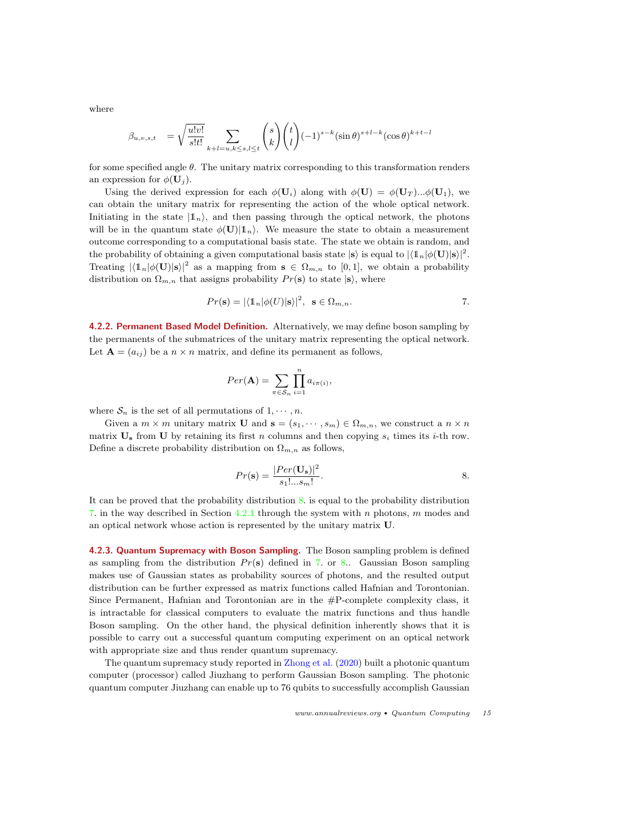where

$$
\beta_{u,v,s,t} = \sqrt{\frac{u!v!}{s!t!}} \sum_{k+l=u,k \le s,l \le t} \binom{s}{k} \binom{t}{l} (-1)^{s-k} (\sin \theta)^{s+l-k} (\cos \theta)^{k+t-l}
$$

for some specified angle  $\theta$ . The unitary matrix corresponding to this transformation renders an expression for  $\phi(\mathbf{U}_i)$ .

Using the derived expression for each  $\phi(\mathbf{U}_i)$  along with  $\phi(\mathbf{U}) = \phi(\mathbf{U}_T)...\phi(\mathbf{U}_1)$ , we can obtain the unitary matrix for representing the action of the whole optical network. Initiating in the state  $|1_n\rangle$ , and then passing through the optical network, the photons will be in the quantum state  $\phi(\mathbf{U})|\mathbb{1}_n$ . We measure the state to obtain a measurement outcome corresponding to a computational basis state. The state we obtain is random, and the probability of obtaining a given computational basis state  $|\mathbf{s}\rangle$  is equal to  $|\langle \mathbf{1}_n|\phi(\mathbf{U})|\mathbf{s}\rangle|^2$ . Treating  $|\langle \mathbb{1}_n|\phi(\mathbf{U})|\mathbf{s}\rangle|^2$  as a mapping from  $\mathbf{s} \in \Omega_{m,n}$  to  $[0,1]$ , we obtain a probability distribution on  $\Omega_{m,n}$  that assigns probability  $Pr(s)$  to state  $|s\rangle$ , where

$$
Pr(\mathbf{s}) = |\langle \mathbf{1}_n | \phi(U) | \mathbf{s} \rangle|^2, \ \ \mathbf{s} \in \Omega_{m,n}.
$$

4.2.2. Permanent Based Model Definition. Alternatively, we may define boson sampling by the permanents of the submatrices of the unitary matrix representing the optical network. Let  $\mathbf{A} = (a_{ij})$  be a  $n \times n$  matrix, and define its permanent as follows,

$$
Per(\mathbf{A}) = \sum_{\pi \in S_n} \prod_{i=1}^n a_{i\pi(i)},
$$

where  $S_n$  is the set of all permutations of  $1, \dots, n$ .

Given a  $m \times m$  unitary matrix **U** and  $\mathbf{s} = (s_1, \dots, s_m) \in \Omega_{m,n}$ , we construct a  $n \times n$ matrix  $U_s$  from U by retaining its first n columns and then copying  $s_i$  times its i-th row. Define a discrete probability distribution on  $\Omega_{m,n}$  as follows,

<span id="page-14-0"></span>
$$
Pr(\mathbf{s}) = \frac{|Per(\mathbf{U_s})|^2}{s_1!...s_m!}.
$$

It can be proved that the probability distribution [8.](#page-14-0) is equal to the probability distribution [7.](#page-13-0) in the way described in Section [4.2.1](#page-12-1) through the system with n photons, m modes and an optical network whose action is represented by the unitary matrix U.

4.2.3. Quantum Supremacy with Boson Sampling. The Boson sampling problem is defined as sampling from the distribution  $Pr(s)$  defined in [7.](#page-13-0) or [8.](#page-14-0). Gaussian Boson sampling makes use of Gaussian states as probability sources of photons, and the resulted output distribution can be further expressed as matrix functions called Hafnian and Torontonian. Since Permanent, Hafnian and Torontonian are in the #P-complete complexity class, it is intractable for classical computers to evaluate the matrix functions and thus handle Boson sampling. On the other hand, the physical definition inherently shows that it is possible to carry out a successful quantum computing experiment on an optical network with appropriate size and thus render quantum supremacy.

The quantum supremacy study reported in [Zhong et al.](#page-27-3) [\(2020\)](#page-27-3) built a photonic quantum computer (processor) called Jiuzhang to perform Gaussian Boson sampling. The photonic quantum computer Jiuzhang can enable up to 76 qubits to successfully accomplish Gaussian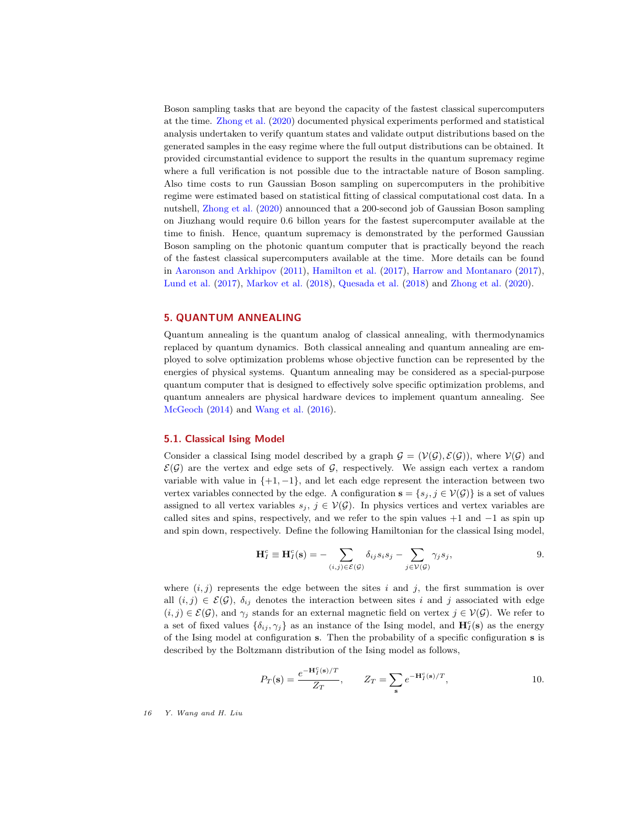Boson sampling tasks that are beyond the capacity of the fastest classical supercomputers at the time. [Zhong et al.](#page-27-3) [\(2020\)](#page-27-3) documented physical experiments performed and statistical analysis undertaken to verify quantum states and validate output distributions based on the generated samples in the easy regime where the full output distributions can be obtained. It provided circumstantial evidence to support the results in the quantum supremacy regime where a full verification is not possible due to the intractable nature of Boson sampling. Also time costs to run Gaussian Boson sampling on supercomputers in the prohibitive regime were estimated based on statistical fitting of classical computational cost data. In a nutshell, [Zhong et al.](#page-27-3) [\(2020\)](#page-27-3) announced that a 200-second job of Gaussian Boson sampling on Jiuzhang would require 0.6 billon years for the fastest supercomputer available at the time to finish. Hence, quantum supremacy is demonstrated by the performed Gaussian Boson sampling on the photonic quantum computer that is practically beyond the reach of the fastest classical supercomputers available at the time. More details can be found in [Aaronson and Arkhipov](#page-25-6) [\(2011\)](#page-25-6), [Hamilton et al.](#page-26-6) [\(2017\)](#page-26-6), [Harrow and Montanaro](#page-26-7) [\(2017\)](#page-26-7), [Lund et al.](#page-26-8) [\(2017\)](#page-26-8), [Markov et al.](#page-26-9) [\(2018\)](#page-26-9), [Quesada et al.](#page-27-14) [\(2018\)](#page-27-14) and [Zhong et al.](#page-27-3) [\(2020\)](#page-27-3).

#### <span id="page-15-0"></span>5. QUANTUM ANNEALING

Quantum annealing is the quantum analog of classical annealing, with thermodynamics replaced by quantum dynamics. Both classical annealing and quantum annealing are employed to solve optimization problems whose objective function can be represented by the energies of physical systems. Quantum annealing may be considered as a special-purpose quantum computer that is designed to effectively solve specific optimization problems, and quantum annealers are physical hardware devices to implement quantum annealing. See [McGeoch](#page-26-10) [\(2014\)](#page-26-10) and [Wang et al.](#page-27-1) [\(2016\)](#page-27-1).

#### <span id="page-15-1"></span>5.1. Classical Ising Model

Consider a classical Ising model described by a graph  $\mathcal{G} = (\mathcal{V}(\mathcal{G}), \mathcal{E}(\mathcal{G}))$ , where  $\mathcal{V}(\mathcal{G})$  and  $\mathcal{E}(\mathcal{G})$  are the vertex and edge sets of  $\mathcal{G}$ , respectively. We assign each vertex a random variable with value in  $\{+1, -1\}$ , and let each edge represent the interaction between two vertex variables connected by the edge. A configuration  $\mathbf{s} = \{s_j, j \in \mathcal{V}(\mathcal{G})\}$  is a set of values assigned to all vertex variables  $s_j$ ,  $j \in V(G)$ . In physics vertices and vertex variables are called sites and spins, respectively, and we refer to the spin values  $+1$  and  $-1$  as spin up and spin down, respectively. Define the following Hamiltonian for the classical Ising model,

<span id="page-15-2"></span>
$$
\mathbf{H}_I^c \equiv \mathbf{H}_I^c(\mathbf{s}) = -\sum_{(i,j)\in \mathcal{E}(\mathcal{G})} \delta_{ij} s_i s_j - \sum_{j\in \mathcal{V}(\mathcal{G})} \gamma_j s_j, \qquad 9.
$$

where  $(i, j)$  represents the edge between the sites i and j, the first summation is over all  $(i, j) \in \mathcal{E}(\mathcal{G})$ ,  $\delta_{ij}$  denotes the interaction between sites i and j associated with edge  $(i, j) \in \mathcal{E}(\mathcal{G})$ , and  $\gamma_j$  stands for an external magnetic field on vertex  $j \in \mathcal{V}(\mathcal{G})$ . We refer to a set of fixed values  $\{\delta_{ij}, \gamma_j\}$  as an instance of the Ising model, and  $\mathbf{H}_I^c(\mathbf{s})$  as the energy of the Ising model at configuration s. Then the probability of a specific configuration s is described by the Boltzmann distribution of the Ising model as follows,

$$
P_T(\mathbf{s}) = \frac{e^{-\mathbf{H}_I^c(\mathbf{s})/T}}{Z_T}, \qquad Z_T = \sum_{\mathbf{s}} e^{-\mathbf{H}_I^c(\mathbf{s})/T}, \qquad 10.
$$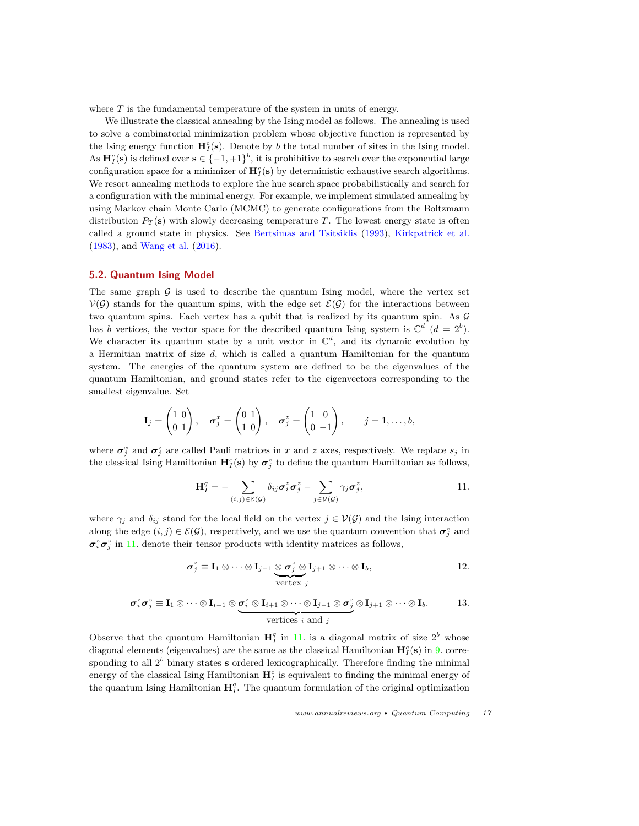where  $T$  is the fundamental temperature of the system in units of energy.

We illustrate the classical annealing by the Ising model as follows. The annealing is used to solve a combinatorial minimization problem whose objective function is represented by the Ising energy function  $\mathbf{H}_{I}^{c}(s)$ . Denote by b the total number of sites in the Ising model. As  $\mathbf{H}_{I}^{c}(\mathbf{s})$  is defined over  $\mathbf{s} \in \{-1, +1\}^{b}$ , it is prohibitive to search over the exponential large configuration space for a minimizer of  $\mathbf{H}_{I}^{c}(\mathbf{s})$  by deterministic exhaustive search algorithms. We resort annealing methods to explore the hue search space probabilistically and search for a configuration with the minimal energy. For example, we implement simulated annealing by using Markov chain Monte Carlo (MCMC) to generate configurations from the Boltzmann distribution  $P_T(\mathbf{s})$  with slowly decreasing temperature T. The lowest energy state is often called a ground state in physics. See [Bertsimas and Tsitsiklis](#page-25-7) [\(1993\)](#page-25-7), [Kirkpatrick et al.](#page-26-11) [\(1983\)](#page-26-11), and [Wang et al.](#page-27-1) [\(2016\)](#page-27-1).

## <span id="page-16-0"></span>5.2. Quantum Ising Model

The same graph  $\mathcal G$  is used to describe the quantum Ising model, where the vertex set  $V(G)$  stands for the quantum spins, with the edge set  $\mathcal{E}(G)$  for the interactions between two quantum spins. Each vertex has a qubit that is realized by its quantum spin. As G has b vertices, the vector space for the described quantum Ising system is  $\mathbb{C}^d$  ( $d = 2^b$ ). We character its quantum state by a unit vector in  $\mathbb{C}^d$ , and its dynamic evolution by a Hermitian matrix of size  $d$ , which is called a quantum Hamiltonian for the quantum system. The energies of the quantum system are defined to be the eigenvalues of the quantum Hamiltonian, and ground states refer to the eigenvectors corresponding to the smallest eigenvalue. Set

$$
\mathbf{I}_j = \begin{pmatrix} 1 & 0 \\ 0 & 1 \end{pmatrix}, \quad \boldsymbol{\sigma}_j^x = \begin{pmatrix} 0 & 1 \\ 1 & 0 \end{pmatrix}, \quad \boldsymbol{\sigma}_j^z = \begin{pmatrix} 1 & 0 \\ 0 & -1 \end{pmatrix}, \qquad j = 1, \ldots, b,
$$

where  $\sigma_j^x$  and  $\sigma_j^z$  are called Pauli matrices in x and z axes, respectively. We replace  $s_j$  in the classical Ising Hamiltonian  $\mathbf{H}_{I}^{c}(s)$  by  $\sigma_{j}^{z}$  to define the quantum Hamiltonian as follows,

<span id="page-16-1"></span>
$$
\mathbf{H}_{I}^{q} = -\sum_{(i,j)\in\mathcal{E}(\mathcal{G})} \delta_{ij} \sigma_{i}^{z} \sigma_{j}^{z} - \sum_{j\in\mathcal{V}(\mathcal{G})} \gamma_{j} \sigma_{j}^{z}, \qquad 11.
$$

where  $\gamma_j$  and  $\delta_{ij}$  stand for the local field on the vertex  $j \in V(\mathcal{G})$  and the Ising interaction along the edge  $(i, j) \in \mathcal{E}(\mathcal{G})$ , respectively, and we use the quantum convention that  $\sigma_j^z$  and  $\sigma_i^z \sigma_j^z$  in [11.](#page-16-1) denote their tensor products with identity matrices as follows,

$$
\sigma_j^z \equiv \mathbf{I}_1 \otimes \cdots \otimes \mathbf{I}_{j-1} \underbrace{\otimes \sigma_j^z \otimes \mathbf{I}_{j+1} \otimes \cdots \otimes \mathbf{I}_b}_{\text{vertex } j},
$$
 12.

$$
\sigma_i^z \sigma_j^z \equiv \mathbf{I}_1 \otimes \cdots \otimes \mathbf{I}_{i-1} \otimes \underbrace{\sigma_i^z \otimes \mathbf{I}_{i+1} \otimes \cdots \otimes \mathbf{I}_{j-1} \otimes \sigma_j^z}_{\text{vertices } i \text{ and } j} \otimes \mathbf{I}_{j+1} \otimes \cdots \otimes \mathbf{I}_b.
$$
 13.

Observe that the quantum Hamiltonian  $\mathbf{H}_{I}^{q}$  in [11.](#page-16-1) is a diagonal matrix of size  $2^{b}$  whose diagonal elements (eigenvalues) are the same as the classical Hamiltonian  $\mathbf{H}_{I}^{c}(\mathbf{s})$  in [9.](#page-15-2) corresponding to all  $2<sup>b</sup>$  binary states s ordered lexicographically. Therefore finding the minimal energy of the classical Ising Hamiltonian  $\mathbf{H}_I^c$  is equivalent to finding the minimal energy of the quantum Ising Hamiltonian  $H_I^q$ . The quantum formulation of the original optimization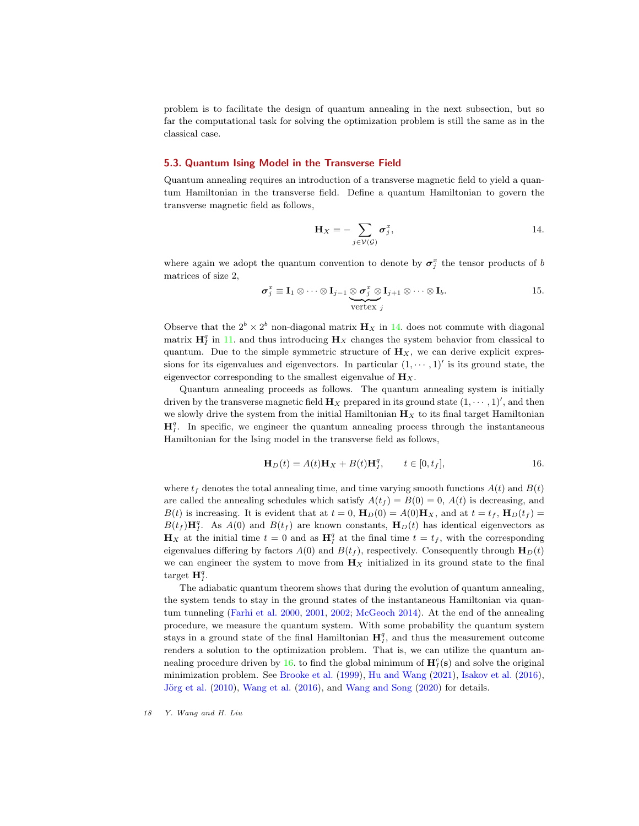problem is to facilitate the design of quantum annealing in the next subsection, but so far the computational task for solving the optimization problem is still the same as in the classical case.

#### <span id="page-17-0"></span>5.3. Quantum Ising Model in the Transverse Field

Quantum annealing requires an introduction of a transverse magnetic field to yield a quantum Hamiltonian in the transverse field. Define a quantum Hamiltonian to govern the transverse magnetic field as follows,

<span id="page-17-1"></span>
$$
\mathbf{H}_X = -\sum_{j \in \mathcal{V}(\mathcal{G})} \boldsymbol{\sigma}_j^x, \qquad \qquad 14.
$$

where again we adopt the quantum convention to denote by  $\sigma_j^x$  the tensor products of b matrices of size 2,

$$
\boldsymbol{\sigma}_j^x \equiv \mathbf{I}_1 \otimes \cdots \otimes \mathbf{I}_{j-1} \underbrace{\otimes \boldsymbol{\sigma}_j^x \otimes \mathbf{I}_{j+1} \otimes \cdots \otimes \mathbf{I}_b}_{\text{vertex } j}.
$$
 15.

Observe that the  $2^b \times 2^b$  non-diagonal matrix  $\mathbf{H}_X$  in [14.](#page-17-1) does not commute with diagonal matrix  $\mathbf{H}_I^q$  in [11.](#page-16-1) and thus introducing  $\mathbf{H}_X$  changes the system behavior from classical to quantum. Due to the simple symmetric structure of  $\mathbf{H}_X$ , we can derive explicit expressions for its eigenvalues and eigenvectors. In particular  $(1, \dots, 1)'$  is its ground state, the eigenvector corresponding to the smallest eigenvalue of  $\mathbf{H}_X$ .

Quantum annealing proceeds as follows. The quantum annealing system is initially driven by the transverse magnetic field  $\mathbf{H}_X$  prepared in its ground state  $(1, \dots, 1)$ <sup>'</sup>, and then we slowly drive the system from the initial Hamiltonian  $\mathbf{H}_X$  to its final target Hamiltonian  $\mathbf{H}_{I}^{q}$ . In specific, we engineer the quantum annealing process through the instantaneous Hamiltonian for the Ising model in the transverse field as follows,

<span id="page-17-2"></span>
$$
\mathbf{H}_D(t) = A(t)\mathbf{H}_X + B(t)\mathbf{H}_I^q, \qquad t \in [0, t_f],
$$
 16.

where  $t_f$  denotes the total annealing time, and time varying smooth functions  $A(t)$  and  $B(t)$ are called the annealing schedules which satisfy  $A(t_f) = B(0) = 0$ ,  $A(t)$  is decreasing, and  $B(t)$  is increasing. It is evident that at  $t = 0$ ,  $\mathbf{H}_D(0) = A(0)\mathbf{H}_X$ , and at  $t = t_f$ ,  $\mathbf{H}_D(t_f) =$  $B(t_f)$ **H**<sup>q</sup>. As  $A(0)$  and  $B(t_f)$  are known constants, **H**<sub>D</sub>(t) has identical eigenvectors as  $\mathbf{H}_X$  at the initial time  $t=0$  and as  $\mathbf{H}_I^q$  at the final time  $t=t_f$ , with the corresponding eigenvalues differing by factors  $A(0)$  and  $B(t_f)$ , respectively. Consequently through  $H_D(t)$ we can engineer the system to move from  $\mathbf{H}_X$  initialized in its ground state to the final target  $\mathbf{H}_{I}^{q}$ .

The adiabatic quantum theorem shows that during the evolution of quantum annealing, the system tends to stay in the ground states of the instantaneous Hamiltonian via quantum tunneling [\(Farhi et al.](#page-26-12) [2000,](#page-26-12) [2001,](#page-26-13) [2002;](#page-26-14) [McGeoch](#page-26-10) [2014\)](#page-26-10). At the end of the annealing procedure, we measure the quantum system. With some probability the quantum system stays in a ground state of the final Hamiltonian  $H_I^q$ , and thus the measurement outcome renders a solution to the optimization problem. That is, we can utilize the quantum an-nealing procedure driven by [16.](#page-17-2) to find the global minimum of  $\mathbf{H}_{I}^{c}(\mathbf{s})$  and solve the original minimization problem. See [Brooke et al.](#page-26-15) [\(1999\)](#page-26-15), [Hu and Wang](#page-26-16) [\(2021\)](#page-26-16), [Isakov et al.](#page-26-17) [\(2016\)](#page-26-17), Jörg et al.  $(2010)$ , [Wang et al.](#page-27-1)  $(2016)$ , and [Wang and Song](#page-27-2)  $(2020)$  for details.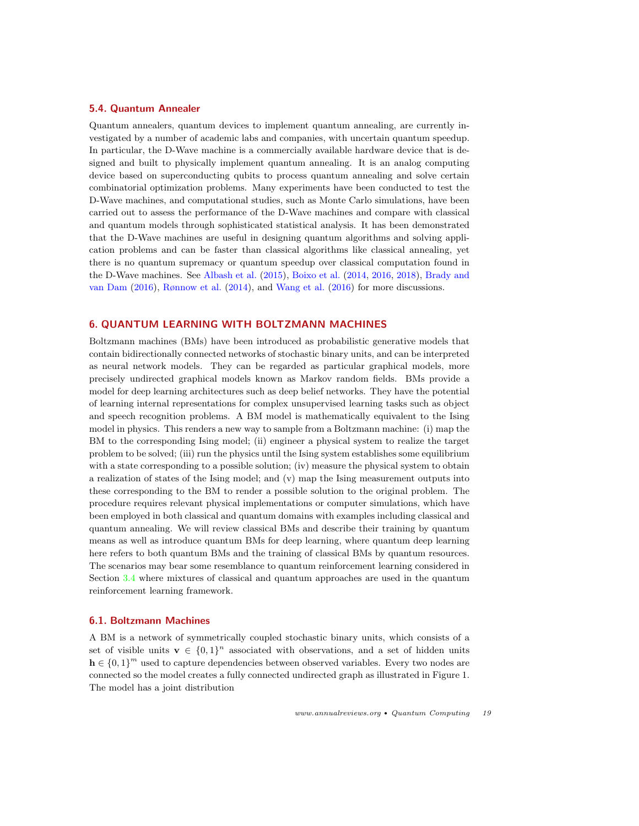#### <span id="page-18-0"></span>5.4. Quantum Annealer

Quantum annealers, quantum devices to implement quantum annealing, are currently investigated by a number of academic labs and companies, with uncertain quantum speedup. In particular, the D-Wave machine is a commercially available hardware device that is designed and built to physically implement quantum annealing. It is an analog computing device based on superconducting qubits to process quantum annealing and solve certain combinatorial optimization problems. Many experiments have been conducted to test the D-Wave machines, and computational studies, such as Monte Carlo simulations, have been carried out to assess the performance of the D-Wave machines and compare with classical and quantum models through sophisticated statistical analysis. It has been demonstrated that the D-Wave machines are useful in designing quantum algorithms and solving application problems and can be faster than classical algorithms like classical annealing, yet there is no quantum supremacy or quantum speedup over classical computation found in the D-Wave machines. See [Albash et al.](#page-25-8) [\(2015\)](#page-25-8), [Boixo et al.](#page-25-9) [\(2014,](#page-25-9) [2016,](#page-25-10) [2018\)](#page-25-5), [Brady and](#page-26-19) [van Dam](#page-26-19) [\(2016\)](#page-26-19), [Rønnow et al.](#page-27-15) [\(2014\)](#page-27-15), and [Wang et al.](#page-27-1) [\(2016\)](#page-27-1) for more discussions.

# <span id="page-18-1"></span>6. QUANTUM LEARNING WITH BOLTZMANN MACHINES

Boltzmann machines (BMs) have been introduced as probabilistic generative models that contain bidirectionally connected networks of stochastic binary units, and can be interpreted as neural network models. They can be regarded as particular graphical models, more precisely undirected graphical models known as Markov random fields. BMs provide a model for deep learning architectures such as deep belief networks. They have the potential of learning internal representations for complex unsupervised learning tasks such as object and speech recognition problems. A BM model is mathematically equivalent to the Ising model in physics. This renders a new way to sample from a Boltzmann machine: (i) map the BM to the corresponding Ising model; (ii) engineer a physical system to realize the target problem to be solved; (iii) run the physics until the Ising system establishes some equilibrium with a state corresponding to a possible solution; (iv) measure the physical system to obtain a realization of states of the Ising model; and (v) map the Ising measurement outputs into these corresponding to the BM to render a possible solution to the original problem. The procedure requires relevant physical implementations or computer simulations, which have been employed in both classical and quantum domains with examples including classical and quantum annealing. We will review classical BMs and describe their training by quantum means as well as introduce quantum BMs for deep learning, where quantum deep learning here refers to both quantum BMs and the training of classical BMs by quantum resources. The scenarios may bear some resemblance to quantum reinforcement learning considered in Section [3.4](#page-6-2) where mixtures of classical and quantum approaches are used in the quantum reinforcement learning framework.

#### <span id="page-18-2"></span>6.1. Boltzmann Machines

A BM is a network of symmetrically coupled stochastic binary units, which consists of a set of visible units  $\mathbf{v} \in \{0,1\}^n$  associated with observations, and a set of hidden units  $h \in \{0,1\}^m$  used to capture dependencies between observed variables. Every two nodes are connected so the model creates a fully connected undirected graph as illustrated in Figure 1. The model has a joint distribution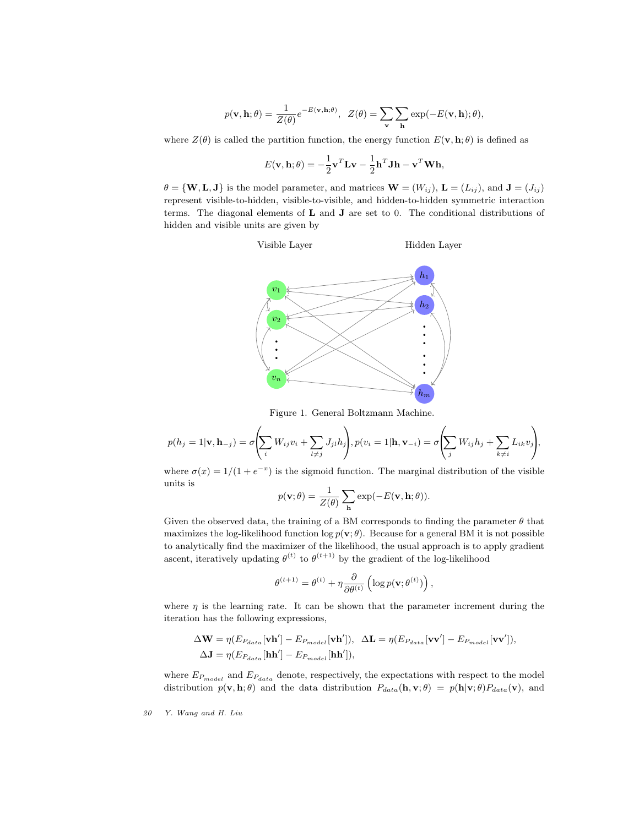$$
p(\mathbf{v}, \mathbf{h}; \theta) = \frac{1}{Z(\theta)} e^{-E(\mathbf{v}, \mathbf{h}; \theta)}, \ \ Z(\theta) = \sum_{\mathbf{v}} \sum_{\mathbf{h}} \exp(-E(\mathbf{v}, \mathbf{h}); \theta),
$$

where  $Z(\theta)$  is called the partition function, the energy function  $E(\mathbf{v}, \mathbf{h}; \theta)$  is defined as

$$
E(\mathbf{v}, \mathbf{h}; \theta) = -\frac{1}{2}\mathbf{v}^T \mathbf{L} \mathbf{v} - \frac{1}{2}\mathbf{h}^T \mathbf{J} \mathbf{h} - \mathbf{v}^T \mathbf{W} \mathbf{h},
$$

 $\theta = {\bf W, L, J}$  is the model parameter, and matrices  ${\bf W} = (W_{ij})$ ,  ${\bf L} = (L_{ij})$ , and  ${\bf J} = (J_{ij})$ represent visible-to-hidden, visible-to-visible, and hidden-to-hidden symmetric interaction terms. The diagonal elements of  $L$  and  $J$  are set to 0. The conditional distributions of hidden and visible units are given by



Figure 1. General Boltzmann Machine.

$$
p(h_j=1|\mathbf{v},\mathbf{h}_{-j})=\sigma\left(\sum_i W_{ij}v_i+\sum_{l\neq j}J_{jl}h_j\right), p(v_i=1|\mathbf{h},\mathbf{v}_{-i})=\sigma\left(\sum_j W_{ij}h_j+\sum_{k\neq i}L_{ik}v_j\right),
$$

where  $\sigma(x) = 1/(1 + e^{-x})$  is the sigmoid function. The marginal distribution of the visible units is

$$
p(\mathbf{v};\theta) = \frac{1}{Z(\theta)} \sum_{\mathbf{h}} \exp(-E(\mathbf{v}, \mathbf{h}; \theta)).
$$

Given the observed data, the training of a BM corresponds to finding the parameter  $\theta$  that maximizes the log-likelihood function  $\log p(\mathbf{v}; \theta)$ . Because for a general BM it is not possible to analytically find the maximizer of the likelihood, the usual approach is to apply gradient ascent, iteratively updating  $\theta^{(t)}$  to  $\theta^{(t+1)}$  by the gradient of the log-likelihood

$$
\theta^{(t+1)} = \theta^{(t)} + \eta \frac{\partial}{\partial \theta^{(t)}} \left( \log p(\mathbf{v}; \theta^{(t)}) \right),
$$

where  $\eta$  is the learning rate. It can be shown that the parameter increment during the iteration has the following expressions,

$$
\Delta \mathbf{W} = \eta (E_{P_{data}}[\mathbf{v}\mathbf{h}'] - E_{P_{model}}[\mathbf{v}\mathbf{h}'])
$$
\n
$$
\Delta \mathbf{L} = \eta (E_{P_{data}}[\mathbf{v}\mathbf{v}'] - E_{P_{model}}[\mathbf{v}\mathbf{v}'])
$$
\n
$$
\Delta \mathbf{J} = \eta (E_{P_{data}}[\mathbf{h}\mathbf{h}'] - E_{P_{model}}[\mathbf{h}\mathbf{h}'])
$$

where  $E_{P_{model}}$  and  $E_{P_{data}}$  denote, respectively, the expectations with respect to the model distribution  $p(\mathbf{v}, \mathbf{h}; \theta)$  and the data distribution  $P_{data}(\mathbf{h}, \mathbf{v}; \theta) = p(\mathbf{h}|\mathbf{v}; \theta)P_{data}(\mathbf{v})$ , and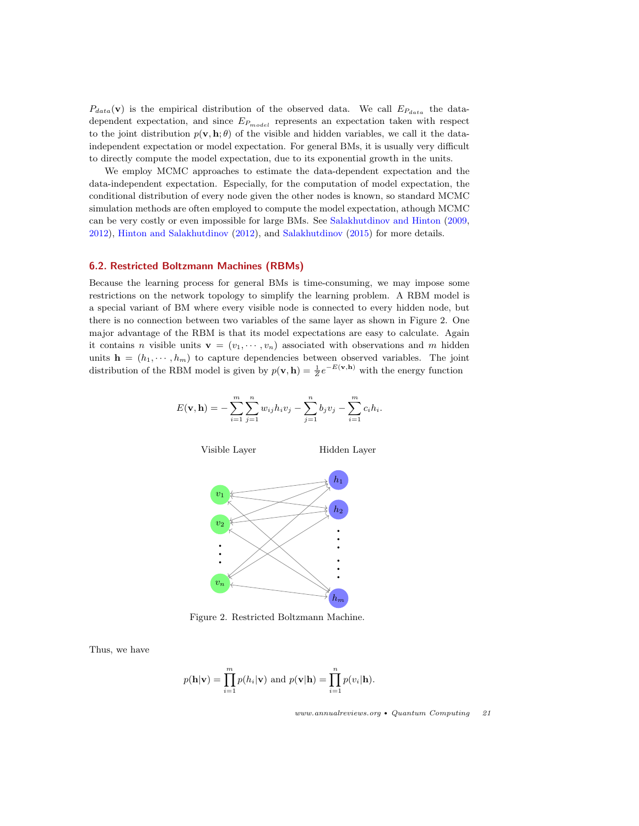$P_{data}(\mathbf{v})$  is the empirical distribution of the observed data. We call  $E_{P_{data}}$  the datadependent expectation, and since  $E_{P_{model}}$  represents an expectation taken with respect to the joint distribution  $p(\mathbf{v}, \mathbf{h}; \theta)$  of the visible and hidden variables, we call it the dataindependent expectation or model expectation. For general BMs, it is usually very difficult to directly compute the model expectation, due to its exponential growth in the units.

We employ MCMC approaches to estimate the data-dependent expectation and the data-independent expectation. Especially, for the computation of model expectation, the conditional distribution of every node given the other nodes is known, so standard MCMC simulation methods are often employed to compute the model expectation, athough MCMC can be very costly or even impossible for large BMs. See [Salakhutdinov and Hinton](#page-27-16) [\(2009,](#page-27-16) [2012\)](#page-27-17), [Hinton and Salakhutdinov](#page-26-20) [\(2012\)](#page-26-20), and [Salakhutdinov](#page-27-18) [\(2015\)](#page-27-18) for more details.

#### <span id="page-20-0"></span>6.2. Restricted Boltzmann Machines (RBMs)

Because the learning process for general BMs is time-consuming, we may impose some restrictions on the network topology to simplify the learning problem. A RBM model is a special variant of BM where every visible node is connected to every hidden node, but there is no connection between two variables of the same layer as shown in Figure 2. One major advantage of the RBM is that its model expectations are easy to calculate. Again it contains n visible units  $\mathbf{v} = (v_1, \dots, v_n)$  associated with observations and m hidden units  $h = (h_1, \dots, h_m)$  to capture dependencies between observed variables. The joint distribution of the RBM model is given by  $p(\mathbf{v}, \mathbf{h}) = \frac{1}{Z} e^{-E(\mathbf{v}, \mathbf{h})}$  with the energy function

$$
E(\mathbf{v}, \mathbf{h}) = -\sum_{i=1}^{m} \sum_{j=1}^{n} w_{ij} h_i v_j - \sum_{j=1}^{n} b_j v_j - \sum_{i=1}^{m} c_i h_i.
$$



Figure 2. Restricted Boltzmann Machine.

Thus, we have

$$
p(\mathbf{h}|\mathbf{v}) = \prod_{i=1}^{m} p(h_i|\mathbf{v}) \text{ and } p(\mathbf{v}|\mathbf{h}) = \prod_{i=1}^{n} p(v_i|\mathbf{h}).
$$

www.annualreviews.org • Quantum Computing 21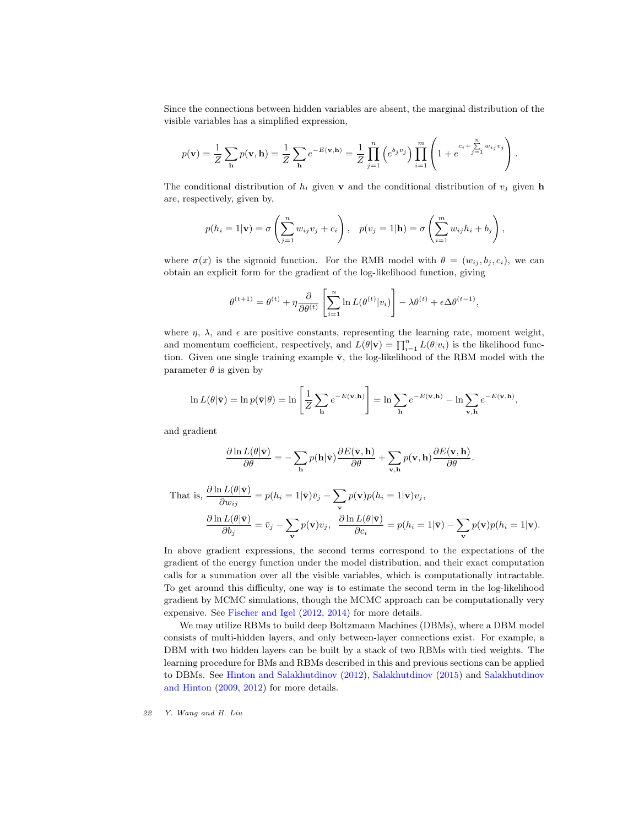Since the connections between hidden variables are absent, the marginal distribution of the visible variables has a simplified expression,

$$
p(\mathbf{v}) = \frac{1}{Z} \sum_{\mathbf{h}} p(\mathbf{v}, \mathbf{h}) = \frac{1}{Z} \sum_{\mathbf{h}} e^{-E(\mathbf{v}, \mathbf{h})} = \frac{1}{Z} \prod_{j=1}^{n} \left( e^{b_j v_j} \right) \prod_{i=1}^{m} \left( 1 + e^{-c_i + \sum_{j=1}^{n} w_{ij} v_j} \right).
$$

The conditional distribution of  $h_i$  given **v** and the conditional distribution of  $v_i$  given **h** are, respectively, given by,

$$
p(h_i = 1 | \mathbf{v}) = \sigma \left( \sum_{j=1}^n w_{ij} v_j + c_i \right), \quad p(v_j = 1 | \mathbf{h}) = \sigma \left( \sum_{i=1}^m w_{ij} h_i + b_j \right),
$$

where  $\sigma(x)$  is the sigmoid function. For the RMB model with  $\theta = (w_{ij}, b_j, c_i)$ , we can obtain an explicit form for the gradient of the log-likelihood function, giving

$$
\theta^{(t+1)} = \theta^{(t)} + \eta \frac{\partial}{\partial \theta^{(t)}} \left[ \sum_{i=1}^{n} \ln L(\theta^{(t)} | v_i) \right] - \lambda \theta^{(t)} + \epsilon \Delta \theta^{(t-1)}
$$

,

where  $\eta$ ,  $\lambda$ , and  $\epsilon$  are positive constants, representing the learning rate, moment weight, and momentum coefficient, respectively, and  $L(\theta|\mathbf{v}) = \prod_{i=1}^n L(\theta|v_i)$  is the likelihood function. Given one single training example  $\bar{v}$ , the log-likelihood of the RBM model with the parameter  $\theta$  is given by

$$
\ln L(\theta|\bar{\mathbf{v}}) = \ln p(\bar{\mathbf{v}}|\theta) = \ln \left[\frac{1}{Z} \sum_{\mathbf{h}} e^{-E(\bar{\mathbf{v}}, \mathbf{h})}\right] = \ln \sum_{\mathbf{h}} e^{-E(\bar{\mathbf{v}}, \mathbf{h})} - \ln \sum_{\mathbf{v}, \mathbf{h}} e^{-E(\mathbf{v}, \mathbf{h})},
$$

and gradient

$$
\frac{\partial \ln L(\theta|\bar{\mathbf{v}})}{\partial \theta} = -\sum_{\mathbf{h}} p(\mathbf{h}|\bar{\mathbf{v}}) \frac{\partial E(\bar{\mathbf{v}}, \mathbf{h})}{\partial \theta} + \sum_{\mathbf{v}, \mathbf{h}} p(\mathbf{v}, \mathbf{h}) \frac{\partial E(\mathbf{v}, \mathbf{h})}{\partial \theta}.
$$

That is, 
$$
\frac{\partial \ln L(\theta | \bar{\mathbf{v}})}{\partial w_{ij}} = p(h_i = 1 | \bar{\mathbf{v}}) \bar{v}_j - \sum_{\mathbf{v}} p(\mathbf{v}) p(h_i = 1 | \mathbf{v}) v_j,
$$
  

$$
\frac{\partial \ln L(\theta | \bar{\mathbf{v}})}{\partial b_j} = \bar{v}_j - \sum_{\mathbf{v}} p(\mathbf{v}) v_j, \quad \frac{\partial \ln L(\theta | \bar{\mathbf{v}})}{\partial c_i} = p(h_i = 1 | \bar{\mathbf{v}}) - \sum_{\mathbf{v}} p(\mathbf{v}) p(h_i = 1 | \mathbf{v}).
$$

In above gradient expressions, the second terms correspond to the expectations of the gradient of the energy function under the model distribution, and their exact computation calls for a summation over all the visible variables, which is computationally intractable. To get around this difficulty, one way is to estimate the second term in the log-likelihood gradient by MCMC simulations, though the MCMC approach can be computationally very expensive. See [Fischer and Igel](#page-26-21) [\(2012,](#page-26-21) [2014\)](#page-26-22) for more details.

We may utilize RBMs to build deep Boltzmann Machines (DBMs), where a DBM model consists of multi-hidden layers, and only between-layer connections exist. For example, a DBM with two hidden layers can be built by a stack of two RBMs with tied weights. The learning procedure for BMs and RBMs described in this and previous sections can be applied to DBMs. See [Hinton and Salakhutdinov](#page-26-20) [\(2012\)](#page-26-20), [Salakhutdinov](#page-27-18) [\(2015\)](#page-27-18) and [Salakhutdinov](#page-27-16) [and Hinton](#page-27-16) [\(2009,](#page-27-16) [2012\)](#page-27-17) for more details.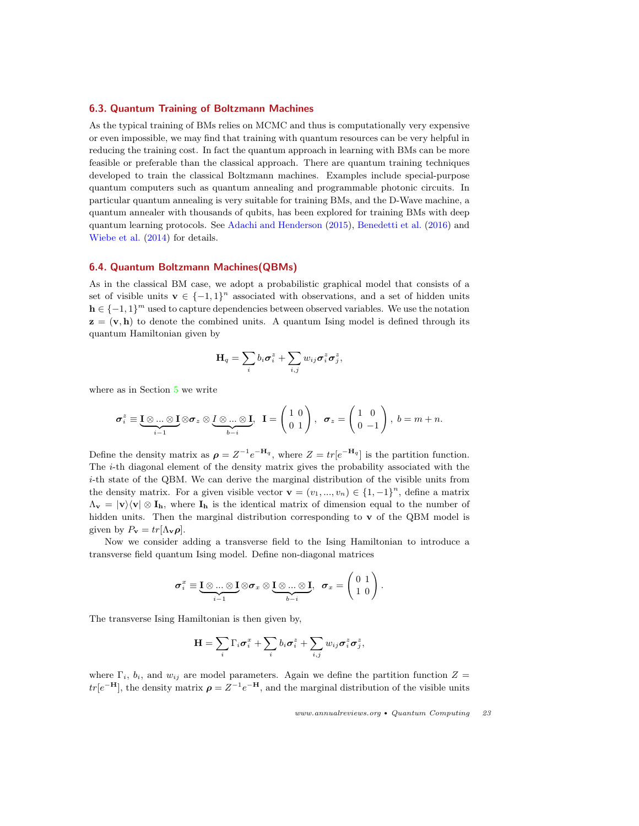#### <span id="page-22-0"></span>6.3. Quantum Training of Boltzmann Machines

As the typical training of BMs relies on MCMC and thus is computationally very expensive or even impossible, we may find that training with quantum resources can be very helpful in reducing the training cost. In fact the quantum approach in learning with BMs can be more feasible or preferable than the classical approach. There are quantum training techniques developed to train the classical Boltzmann machines. Examples include special-purpose quantum computers such as quantum annealing and programmable photonic circuits. In particular quantum annealing is very suitable for training BMs, and the D-Wave machine, a quantum annealer with thousands of qubits, has been explored for training BMs with deep quantum learning protocols. See [Adachi and Henderson](#page-25-11) [\(2015\)](#page-25-11), [Benedetti et al.](#page-25-12) [\(2016\)](#page-25-12) and [Wiebe et al.](#page-27-19) [\(2014\)](#page-27-19) for details.

#### <span id="page-22-1"></span>6.4. Quantum Boltzmann Machines(QBMs)

As in the classical BM case, we adopt a probabilistic graphical model that consists of a set of visible units  $\mathbf{v} \in \{-1,1\}^n$  associated with observations, and a set of hidden units  $h \in \{-1,1\}^m$  used to capture dependencies between observed variables. We use the notation  $z = (v, h)$  to denote the combined units. A quantum Ising model is defined through its quantum Hamiltonian given by

$$
\mathbf{H}_q = \sum_i b_i \boldsymbol{\sigma}_i^z + \sum_{i,j} w_{ij} \boldsymbol{\sigma}_i^z \boldsymbol{\sigma}_j^z,
$$

where as in Section [5](#page-15-0) we write

$$
\sigma_i^z \equiv \underbrace{\mathbf{I} \otimes \ldots \otimes \mathbf{I}}_{i-1} \otimes \sigma_z \otimes \underbrace{\mathbf{I} \otimes \ldots \otimes \mathbf{I}}_{b-i}, \ \ \mathbf{I} = \begin{pmatrix} 1 & 0 \\ 0 & 1 \end{pmatrix}, \ \ \sigma_z = \begin{pmatrix} 1 & 0 \\ 0 & -1 \end{pmatrix}, \ b = m + n.
$$

Define the density matrix as  $\rho = Z^{-1}e^{-H_q}$ , where  $Z = tr[e^{-H_q}]$  is the partition function. The i-th diagonal element of the density matrix gives the probability associated with the i-th state of the QBM. We can derive the marginal distribution of the visible units from the density matrix. For a given visible vector  $\mathbf{v} = (v_1, ..., v_n) \in \{1, -1\}^n$ , define a matrix  $\Lambda_{\mathbf{v}} = |\mathbf{v}\rangle \langle \mathbf{v}| \otimes \mathbf{I}_{\mathbf{h}}$ , where  $\mathbf{I}_{\mathbf{h}}$  is the identical matrix of dimension equal to the number of hidden units. Then the marginal distribution corresponding to  $\bf{v}$  of the QBM model is given by  $P_{\mathbf{v}} = tr[\Lambda_{\mathbf{v}} \boldsymbol{\rho}].$ 

Now we consider adding a transverse field to the Ising Hamiltonian to introduce a transverse field quantum Ising model. Define non-diagonal matrices

$$
\boldsymbol{\sigma}_i^x \equiv \underbrace{\mathbf{I} \otimes ... \otimes \mathbf{I}}_{i-1} \otimes \boldsymbol{\sigma}_x \otimes \underbrace{\mathbf{I} \otimes ... \otimes \mathbf{I}}_{b-i}, \ \ \boldsymbol{\sigma}_x = \begin{pmatrix} 0 & 1 \\ 1 & 0 \end{pmatrix}.
$$

The transverse Ising Hamiltonian is then given by,

$$
\mathbf{H} = \sum_{i} \Gamma_i \boldsymbol{\sigma}_i^x + \sum_{i} b_i \boldsymbol{\sigma}_i^z + \sum_{i,j} w_{ij} \boldsymbol{\sigma}_i^z \boldsymbol{\sigma}_j^z,
$$

where  $\Gamma_i$ ,  $b_i$ , and  $w_{ij}$  are model parameters. Again we define the partition function  $Z =$  $tr[e^{-H}]$ , the density matrix  $\rho = Z^{-1}e^{-H}$ , and the marginal distribution of the visible units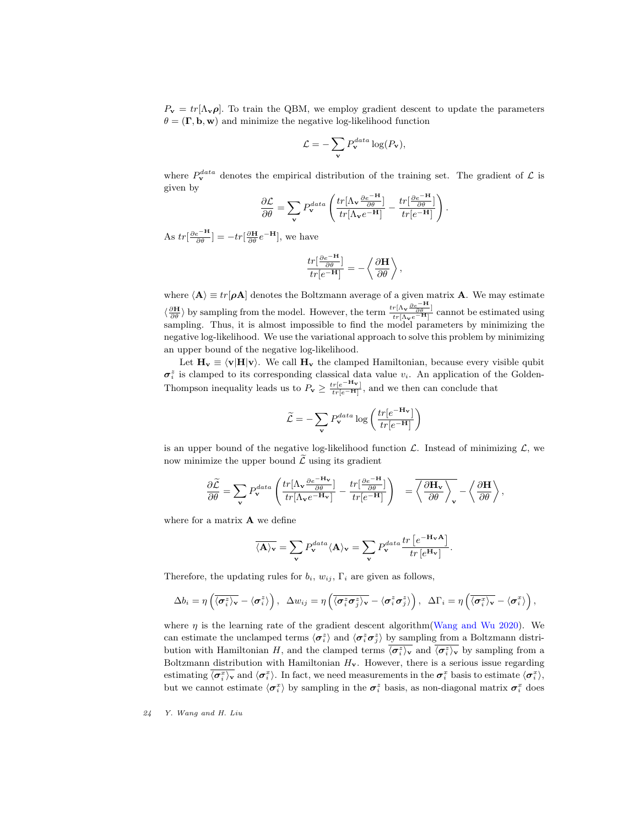$P_{\mathbf{v}} = tr[\Lambda_{\mathbf{v}} \rho]$ . To train the QBM, we employ gradient descent to update the parameters  $\theta = (\mathbf{\Gamma}, \mathbf{b}, \mathbf{w})$  and minimize the negative log-likelihood function

$$
\mathcal{L} = -\sum_{\mathbf{v}} P_{\mathbf{v}}^{data} \log(P_{\mathbf{v}}),
$$

where  $P_{\mathbf{v}}^{data}$  denotes the empirical distribution of the training set. The gradient of  $\mathcal{L}$  is given by ∂e−<sup>H</sup> ∂e−<sup>H</sup>

$$
\frac{\partial \mathcal{L}}{\partial \theta} = \sum_{\mathbf{v}} P_{\mathbf{v}}^{data} \left( \frac{tr[\Lambda_{\mathbf{v}} \frac{\partial e^{-\mathbf{H}}}{\partial \theta}]}{tr[\Lambda_{\mathbf{v}} e^{-\mathbf{H}}]} - \frac{tr[\frac{\partial e^{-\mathbf{H}}}{\partial \theta}]}{tr[e^{-\mathbf{H}}]} \right)
$$

.

As  $tr[\frac{\partial e^{-H}}{\partial \theta}] = -tr[\frac{\partial H}{\partial \theta}e^{-H}],$  we have

$$
\frac{tr\left[\frac{\partial e^{-\mathbf{H}}}{\partial \theta}\right]}{tr[e^{-\mathbf{H}}]} = -\left\langle \frac{\partial \mathbf{H}}{\partial \theta} \right\rangle,
$$

where  $\langle A \rangle \equiv tr[\rho A]$  denotes the Boltzmann average of a given matrix A. We may estimate  $\langle \frac{\partial \mathbf{H}}{\partial \theta} \rangle$  by sampling from the model. However, the term  $\frac{tr[\Lambda_{\mathbf{v}} \frac{\partial e^{-\mathbf{H}}}{\partial \theta}]}{tr[\Lambda_{\mathbf{v}} e^{-\mathbf{H}}]}$  cannot be estimated using sampling. Thus, it is almost impossible to find the model parameters by minimizing the negative log-likelihood. We use the variational approach to solve this problem by minimizing an upper bound of the negative log-likelihood.

Let  $H_v \equiv \langle v|H|v\rangle$ . We call  $H_v$  the clamped Hamiltonian, because every visible qubit  $\sigma_i^z$  is clamped to its corresponding classical data value  $v_i$ . An application of the Golden-Thompson inequality leads us to  $P_v \ge \frac{tr[e^{-H_v}]}{tr[e^{-H}]}$ , and we then can conclude that

$$
\widetilde{\mathcal{L}} = -\sum_{\mathbf{v}} P_{\mathbf{v}}^{data} \log \left( \frac{tr[e^{-\mathbf{H}_{\mathbf{v}}}]}{tr[e^{-\mathbf{H}}]} \right)
$$

is an upper bound of the negative log-likelihood function  $\mathcal{L}$ . Instead of minimizing  $\mathcal{L}$ , we now minimize the upper bound  $\tilde{\mathcal{L}}$  using its gradient

$$
\frac{\partial \widetilde{\mathcal{L}}}{\partial \theta} = \sum_{\mathbf{v}} P_{\mathbf{v}}^{data} \left( \frac{tr[\Lambda_{\mathbf{v}} \frac{\partial e^{-\mathbf{H}_{\mathbf{v}}}}{\partial \theta}]}{tr[\Lambda_{\mathbf{v}} e^{-\mathbf{H}_{\mathbf{v}}}] } - \frac{tr[\frac{\partial e^{-\mathbf{H}}}{\partial \theta}]}{tr[e^{-\mathbf{H}}]} \right) \quad = \overline{\left\langle \frac{\partial \mathbf{H}_{\mathbf{v}}}{\partial \theta} \right\rangle_{\mathbf{v}}} - \left\langle \frac{\partial \mathbf{H}}{\partial \theta} \right\rangle,
$$

where for a matrix **A** we define

$$
\overline{\langle A\rangle_{\mathbf{v}}} = \sum_{\mathbf{v}} P_{\mathbf{v}}^{data} \langle A\rangle_{\mathbf{v}} = \sum_{\mathbf{v}} P_{\mathbf{v}}^{data} \frac{tr\left[e^{-\mathbf{H}_{\mathbf{v}}A}\right]}{tr\left[e^{\mathbf{H}_{\mathbf{v}}}\right]}.
$$

Therefore, the updating rules for  $b_i$ ,  $w_{ij}$ ,  $\Gamma_i$  are given as follows,

$$
\Delta b_i = \eta \left( \overline{\langle \sigma_i^z \rangle_{\mathbf{v}}} - \langle \sigma_i^z \rangle \right), \quad \Delta w_{ij} = \eta \left( \overline{\langle \sigma_i^z \sigma_j^z \rangle_{\mathbf{v}}} - \langle \sigma_i^z \sigma_j^z \rangle \right), \quad \Delta \Gamma_i = \eta \left( \overline{\langle \sigma_i^x \rangle_{\mathbf{v}}} - \langle \sigma_i^x \rangle \right),
$$

where  $\eta$  is the learning rate of the gradient descent algorithm [\(Wang and Wu](#page-27-20) [2020\)](#page-27-20). We can estimate the unclamped terms  $\langle \sigma_i^z \rangle$  and  $\langle \sigma_i^z \sigma_j^z \rangle$  by sampling from a Boltzmann distribution with Hamiltonian H, and the clamped terms  $\overline{\langle \sigma_i^z \rangle_v}$  and  $\overline{\langle \sigma_i^z \rangle_v}$  by sampling from a Boltzmann distribution with Hamiltonian  $H_v$ . However, there is a serious issue regarding estimating  $\langle \sigma_i^x \rangle$  and  $\langle \sigma_i^x \rangle$ . In fact, we need measurements in the  $\sigma_i^x$  basis to estimate  $\langle \sigma_i^x \rangle$ , but we cannot estimate  $\langle \sigma_i^x \rangle$  by sampling in the  $\sigma_i^z$  basis, as non-diagonal matrix  $\sigma_i^x$  does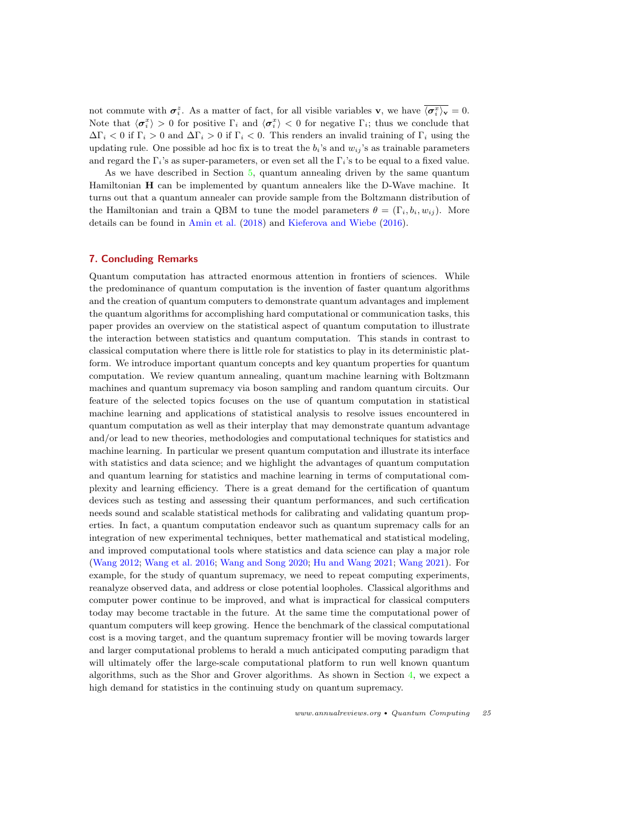not commute with  $\sigma_i^z$ . As a matter of fact, for all visible variables **v**, we have  $\overline{\langle \sigma_i^x \rangle_v} = 0$ . Note that  $\langle \sigma_i^x \rangle > 0$  for positive  $\Gamma_i$  and  $\langle \sigma_i^x \rangle < 0$  for negative  $\Gamma_i$ ; thus we conclude that  $\Delta\Gamma_i$  < 0 if  $\Gamma_i$  > 0 and  $\Delta\Gamma_i$  > 0 if  $\Gamma_i$  < 0. This renders an invalid training of  $\Gamma_i$  using the updating rule. One possible ad hoc fix is to treat the  $b_i$ 's and  $w_{ij}$ 's as trainable parameters and regard the  $\Gamma_i$ 's as super-parameters, or even set all the  $\Gamma_i$ 's to be equal to a fixed value.

As we have described in Section [5,](#page-15-0) quantum annealing driven by the same quantum Hamiltonian H can be implemented by quantum annealers like the D-Wave machine. It turns out that a quantum annealer can provide sample from the Boltzmann distribution of the Hamiltonian and train a QBM to tune the model parameters  $\theta = (\Gamma_i, b_i, w_{ij})$ . More details can be found in [Amin et al.](#page-25-13) [\(2018\)](#page-25-13) and [Kieferova and Wiebe](#page-26-23) [\(2016\)](#page-26-23).

#### <span id="page-24-0"></span>7. Concluding Remarks

Quantum computation has attracted enormous attention in frontiers of sciences. While the predominance of quantum computation is the invention of faster quantum algorithms and the creation of quantum computers to demonstrate quantum advantages and implement the quantum algorithms for accomplishing hard computational or communication tasks, this paper provides an overview on the statistical aspect of quantum computation to illustrate the interaction between statistics and quantum computation. This stands in contrast to classical computation where there is little role for statistics to play in its deterministic platform. We introduce important quantum concepts and key quantum properties for quantum computation. We review quantum annealing, quantum machine learning with Boltzmann machines and quantum supremacy via boson sampling and random quantum circuits. Our feature of the selected topics focuses on the use of quantum computation in statistical machine learning and applications of statistical analysis to resolve issues encountered in quantum computation as well as their interplay that may demonstrate quantum advantage and/or lead to new theories, methodologies and computational techniques for statistics and machine learning. In particular we present quantum computation and illustrate its interface with statistics and data science; and we highlight the advantages of quantum computation and quantum learning for statistics and machine learning in terms of computational complexity and learning efficiency. There is a great demand for the certification of quantum devices such as testing and assessing their quantum performances, and such certification needs sound and scalable statistical methods for calibrating and validating quantum properties. In fact, a quantum computation endeavor such as quantum supremacy calls for an integration of new experimental techniques, better mathematical and statistical modeling, and improved computational tools where statistics and data science can play a major role [\(Wang](#page-27-0) [2012;](#page-27-0) [Wang et al.](#page-27-1) [2016;](#page-27-1) [Wang and Song](#page-27-2) [2020;](#page-27-2) [Hu and Wang](#page-26-16) [2021;](#page-26-16) [Wang](#page-27-21) [2021\)](#page-27-21). For example, for the study of quantum supremacy, we need to repeat computing experiments, reanalyze observed data, and address or close potential loopholes. Classical algorithms and computer power continue to be improved, and what is impractical for classical computers today may become tractable in the future. At the same time the computational power of quantum computers will keep growing. Hence the benchmark of the classical computational cost is a moving target, and the quantum supremacy frontier will be moving towards larger and larger computational problems to herald a much anticipated computing paradigm that will ultimately offer the large-scale computational platform to run well known quantum algorithms, such as the Shor and Grover algorithms. As shown in Section [4,](#page-7-0) we expect a high demand for statistics in the continuing study on quantum supremacy.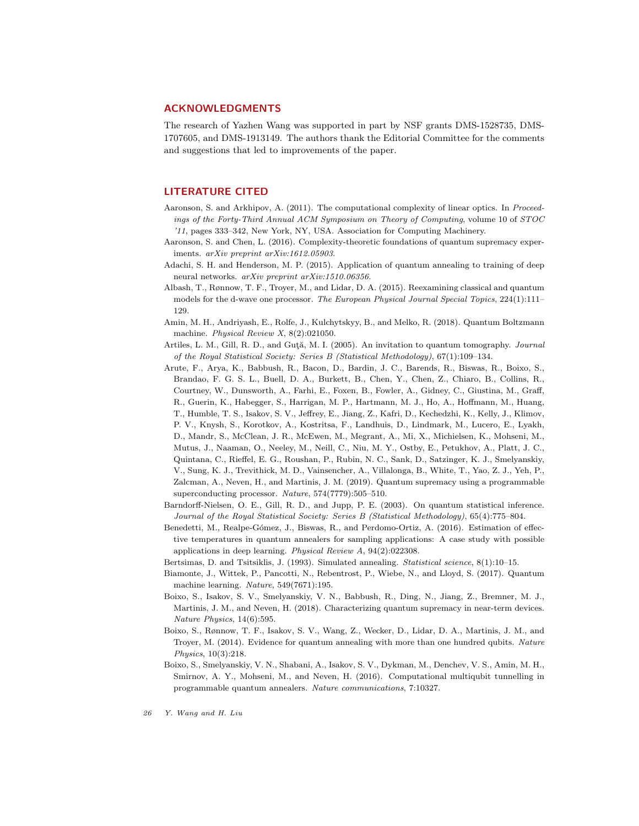# ACKNOWLEDGMENTS

The research of Yazhen Wang was supported in part by NSF grants DMS-1528735, DMS-1707605, and DMS-1913149. The authors thank the Editorial Committee for the comments and suggestions that led to improvements of the paper.

# LITERATURE CITED

- <span id="page-25-6"></span>Aaronson, S. and Arkhipov, A. (2011). The computational complexity of linear optics. In Proceedings of the Forty-Third Annual ACM Symposium on Theory of Computing, volume 10 of STOC '11, pages 333–342, New York, NY, USA. Association for Computing Machinery.
- <span id="page-25-4"></span>Aaronson, S. and Chen, L. (2016). Complexity-theoretic foundations of quantum supremacy experiments. arXiv preprint arXiv:1612.05903.
- <span id="page-25-11"></span>Adachi, S. H. and Henderson, M. P. (2015). Application of quantum annealing to training of deep neural networks. arXiv preprint arXiv:1510.06356.
- <span id="page-25-8"></span>Albash, T., Rønnow, T. F., Troyer, M., and Lidar, D. A. (2015). Reexamining classical and quantum models for the d-wave one processor. The European Physical Journal Special Topics, 224(1):111– 129.
- <span id="page-25-13"></span>Amin, M. H., Andriyash, E., Rolfe, J., Kulchytskyy, B., and Melko, R. (2018). Quantum Boltzmann machine. Physical Review X, 8(2):021050.
- <span id="page-25-1"></span>Artiles, L. M., Gill, R. D., and Guta, M. I. (2005). An invitation to quantum tomography. Journal of the Royal Statistical Society: Series B (Statistical Methodology), 67(1):109–134.
- <span id="page-25-0"></span>Arute, F., Arya, K., Babbush, R., Bacon, D., Bardin, J. C., Barends, R., Biswas, R., Boixo, S., Brandao, F. G. S. L., Buell, D. A., Burkett, B., Chen, Y., Chen, Z., Chiaro, B., Collins, R., Courtney, W., Dunsworth, A., Farhi, E., Foxen, B., Fowler, A., Gidney, C., Giustina, M., Graff, R., Guerin, K., Habegger, S., Harrigan, M. P., Hartmann, M. J., Ho, A., Hoffmann, M., Huang, T., Humble, T. S., Isakov, S. V., Jeffrey, E., Jiang, Z., Kafri, D., Kechedzhi, K., Kelly, J., Klimov, P. V., Knysh, S., Korotkov, A., Kostritsa, F., Landhuis, D., Lindmark, M., Lucero, E., Lyakh, D., Mandr, S., McClean, J. R., McEwen, M., Megrant, A., Mi, X., Michielsen, K., Mohseni, M., Mutus, J., Naaman, O., Neeley, M., Neill, C., Niu, M. Y., Ostby, E., Petukhov, A., Platt, J. C., Quintana, C., Rieffel, E. G., Roushan, P., Rubin, N. C., Sank, D., Satzinger, K. J., Smelyanskiy, V., Sung, K. J., Trevithick, M. D., Vainsencher, A., Villalonga, B., White, T., Yao, Z. J., Yeh, P., Zalcman, A., Neven, H., and Martinis, J. M. (2019). Quantum supremacy using a programmable superconducting processor. Nature, 574(7779):505–510.
- <span id="page-25-2"></span>Barndorff-Nielsen, O. E., Gill, R. D., and Jupp, P. E. (2003). On quantum statistical inference. Journal of the Royal Statistical Society: Series B (Statistical Methodology), 65(4):775–804.
- <span id="page-25-12"></span>Benedetti, M., Realpe-Gómez, J., Biswas, R., and Perdomo-Ortiz, A. (2016). Estimation of effective temperatures in quantum annealers for sampling applications: A case study with possible applications in deep learning. Physical Review A, 94(2):022308.
- <span id="page-25-7"></span>Bertsimas, D. and Tsitsiklis, J. (1993). Simulated annealing. Statistical science, 8(1):10–15.
- <span id="page-25-3"></span>Biamonte, J., Wittek, P., Pancotti, N., Rebentrost, P., Wiebe, N., and Lloyd, S. (2017). Quantum machine learning. Nature, 549(7671):195.
- <span id="page-25-5"></span>Boixo, S., Isakov, S. V., Smelyanskiy, V. N., Babbush, R., Ding, N., Jiang, Z., Bremner, M. J., Martinis, J. M., and Neven, H. (2018). Characterizing quantum supremacy in near-term devices. Nature Physics, 14(6):595.
- <span id="page-25-9"></span>Boixo, S., Rønnow, T. F., Isakov, S. V., Wang, Z., Wecker, D., Lidar, D. A., Martinis, J. M., and Troyer, M. (2014). Evidence for quantum annealing with more than one hundred qubits. Nature Physics, 10(3):218.
- <span id="page-25-10"></span>Boixo, S., Smelyanskiy, V. N., Shabani, A., Isakov, S. V., Dykman, M., Denchev, V. S., Amin, M. H., Smirnov, A. Y., Mohseni, M., and Neven, H. (2016). Computational multiqubit tunnelling in programmable quantum annealers. Nature communications, 7:10327.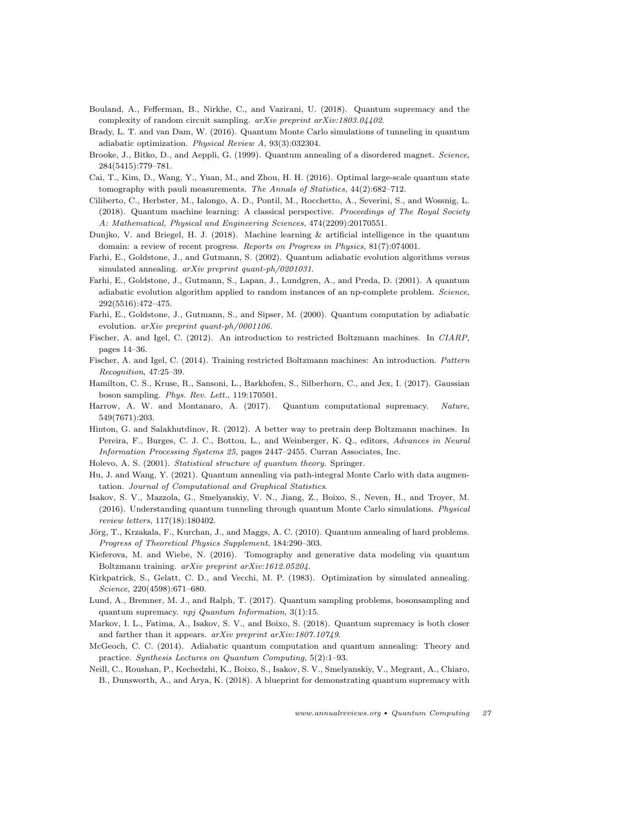- <span id="page-26-4"></span>Bouland, A., Fefferman, B., Nirkhe, C., and Vazirani, U. (2018). Quantum supremacy and the complexity of random circuit sampling. arXiv preprint arXiv:1803.04402.
- <span id="page-26-19"></span>Brady, L. T. and van Dam, W. (2016). Quantum Monte Carlo simulations of tunneling in quantum adiabatic optimization. Physical Review A, 93(3):032304.
- <span id="page-26-15"></span>Brooke, J., Bitko, D., and Aeppli, G. (1999). Quantum annealing of a disordered magnet. Science, 284(5415):779–781.
- <span id="page-26-1"></span>Cai, T., Kim, D., Wang, Y., Yuan, M., and Zhou, H. H. (2016). Optimal large-scale quantum state tomography with pauli measurements. The Annals of Statistics, 44(2):682–712.
- <span id="page-26-2"></span>Ciliberto, C., Herbster, M., Ialongo, A. D., Pontil, M., Rocchetto, A., Severini, S., and Wossnig, L. (2018). Quantum machine learning: A classical perspective. Proceedings of The Royal Society A: Mathematical, Physical and Engineering Sciences, 474(2209):20170551.
- <span id="page-26-3"></span>Dunjko, V. and Briegel, H. J. (2018). Machine learning & artificial intelligence in the quantum domain: a review of recent progress. Reports on Progress in Physics, 81(7):074001.
- <span id="page-26-14"></span>Farhi, E., Goldstone, J., and Gutmann, S. (2002). Quantum adiabatic evolution algorithms versus simulated annealing. arXiv preprint quant-ph/0201031.
- <span id="page-26-13"></span>Farhi, E., Goldstone, J., Gutmann, S., Lapan, J., Lundgren, A., and Preda, D. (2001). A quantum adiabatic evolution algorithm applied to random instances of an np-complete problem. Science, 292(5516):472–475.
- <span id="page-26-12"></span>Farhi, E., Goldstone, J., Gutmann, S., and Sipser, M. (2000). Quantum computation by adiabatic evolution. arXiv preprint quant-ph/0001106.
- <span id="page-26-21"></span>Fischer, A. and Igel, C. (2012). An introduction to restricted Boltzmann machines. In CIARP, pages 14–36.
- <span id="page-26-22"></span>Fischer, A. and Igel, C. (2014). Training restricted Boltzmann machines: An introduction. Pattern Recognition, 47:25–39.
- <span id="page-26-6"></span>Hamilton, C. S., Kruse, R., Sansoni, L., Barkhofen, S., Silberhorn, C., and Jex, I. (2017). Gaussian boson sampling. Phys. Rev. Lett., 119:170501.
- <span id="page-26-7"></span>Harrow, A. W. and Montanaro, A. (2017). Quantum computational supremacy. Nature, 549(7671):203.
- <span id="page-26-20"></span>Hinton, G. and Salakhutdinov, R. (2012). A better way to pretrain deep Boltzmann machines. In Pereira, F., Burges, C. J. C., Bottou, L., and Weinberger, K. Q., editors, Advances in Neural Information Processing Systems 25, pages 2447–2455. Curran Associates, Inc.
- <span id="page-26-0"></span>Holevo, A. S. (2001). Statistical structure of quantum theory. Springer.
- <span id="page-26-16"></span>Hu, J. and Wang, Y. (2021). Quantum annealing via path-integral Monte Carlo with data augmentation. Journal of Computational and Graphical Statistics.
- <span id="page-26-17"></span>Isakov, S. V., Mazzola, G., Smelyanskiy, V. N., Jiang, Z., Boixo, S., Neven, H., and Troyer, M. (2016). Understanding quantum tunneling through quantum Monte Carlo simulations. Physical review letters, 117(18):180402.
- <span id="page-26-18"></span>Jörg, T., Krzakala, F., Kurchan, J., and Maggs, A. C. (2010). Quantum annealing of hard problems. Progress of Theoretical Physics Supplement, 184:290–303.
- <span id="page-26-23"></span>Kieferova, M. and Wiebe, N. (2016). Tomography and generative data modeling via quantum Boltzmann training. arXiv preprint arXiv:1612.05204.
- <span id="page-26-11"></span>Kirkpatrick, S., Gelatt, C. D., and Vecchi, M. P. (1983). Optimization by simulated annealing. Science, 220(4598):671–680.
- <span id="page-26-8"></span>Lund, A., Bremner, M. J., and Ralph, T. (2017). Quantum sampling problems, bosonsampling and quantum supremacy. npj Quantum Information, 3(1):15.
- <span id="page-26-9"></span>Markov, I. L., Fatima, A., Isakov, S. V., and Boixo, S. (2018). Quantum supremacy is both closer and farther than it appears. arXiv preprint arXiv:1807.10749.
- <span id="page-26-10"></span>McGeoch, C. C. (2014). Adiabatic quantum computation and quantum annealing: Theory and practice. Synthesis Lectures on Quantum Computing, 5(2):1–93.
- <span id="page-26-5"></span>Neill, C., Roushan, P., Kechedzhi, K., Boixo, S., Isakov, S. V., Smelyanskiy, V., Megrant, A., Chiaro, B., Dunsworth, A., and Arya, K. (2018). A blueprint for demonstrating quantum supremacy with